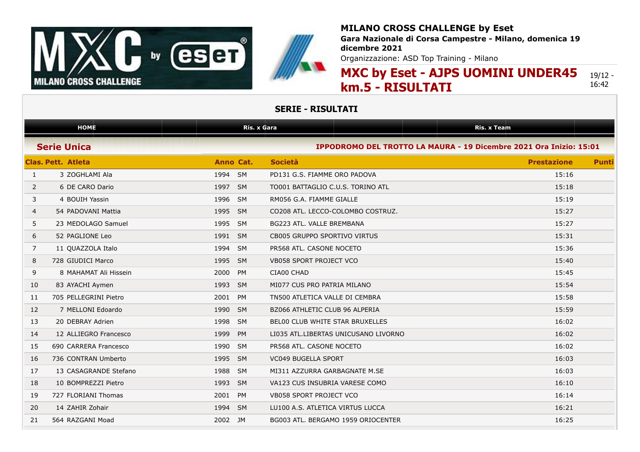

**Gara Nazionale di Corsa Campestre - Milano, domenica 19 dicembre 2021**

Organizzazione: ASD Top Training - Milano

#### **MXC by Eset - AJPS UOMINI UNDER45 km.5 - RISULTATI** 19/12 - 16:42

|              | <b>HOME</b>               |         | <b>Ris. x Gara</b> |                                                                    | <b>Ris. x Team</b> |              |
|--------------|---------------------------|---------|--------------------|--------------------------------------------------------------------|--------------------|--------------|
|              | <b>Serie Unica</b>        |         |                    | IPPODROMO DEL TROTTO LA MAURA - 19 Dicembre 2021 Ora Inizio: 15:01 |                    |              |
|              | <b>Clas. Pett. Atleta</b> |         | Anno Cat.          | <b>Società</b>                                                     | <b>Prestazione</b> | <b>Punti</b> |
| $\mathbf{1}$ | 3 ZOGHLAMI Ala            | 1994 SM |                    | PD131 G.S. FIAMME ORO PADOVA                                       | 15:16              |              |
| 2            | 6 DE CARO Dario           | 1997 SM |                    | TO001 BATTAGLIO C.U.S. TORINO ATL                                  | 15:18              |              |
| 3            | 4 BOUIH Yassin            | 1996    | <b>SM</b>          | RM056 G.A. FIAMME GIALLE                                           | 15:19              |              |
| 4            | 54 PADOVANI Mattia        | 1995    | <b>SM</b>          | CO208 ATL. LECCO-COLOMBO COSTRUZ.                                  | 15:27              |              |
| 5            | 23 MEDOLAGO Samuel        | 1995    | <b>SM</b>          | BG223 ATL. VALLE BREMBANA                                          | 15:27              |              |
| 6            | 52 PAGLIONE Leo           | 1991 SM |                    | CB005 GRUPPO SPORTIVO VIRTUS                                       | 15:31              |              |
| 7            | 11 QUAZZOLA Italo         | 1994    | <b>SM</b>          | PR568 ATL, CASONE NOCETO                                           | 15:36              |              |
| 8            | 728 GIUDICI Marco         | 1995    | <b>SM</b>          | VB058 SPORT PROJECT VCO                                            | 15:40              |              |
| 9            | 8 MAHAMAT Ali Hissein     | 2000    | PM                 | CIA00 CHAD                                                         | 15:45              |              |
| 10           | 83 AYACHI Aymen           | 1993    | <b>SM</b>          | MI077 CUS PRO PATRIA MILANO                                        | 15:54              |              |
| 11           | 705 PELLEGRINI Pietro     | 2001    | <b>PM</b>          | TN500 ATLETICA VALLE DI CEMBRA                                     | 15:58              |              |
| 12           | 7 MELLONI Edoardo         | 1990    | <b>SM</b>          | BZ066 ATHLETIC CLUB 96 ALPERIA                                     | 15:59              |              |
| 13           | 20 DEBRAY Adrien          | 1998    | <b>SM</b>          | <b>BELOO CLUB WHITE STAR BRUXELLES</b>                             | 16:02              |              |
| 14           | 12 ALLIEGRO Francesco     | 1999    | PM                 | LI035 ATL.LIBERTAS UNICUSANO LIVORNO                               | 16:02              |              |
| 15           | 690 CARRERA Francesco     | 1990    | <b>SM</b>          | PR568 ATL. CASONE NOCETO                                           | 16:02              |              |
| 16           | 736 CONTRAN Umberto       | 1995    | <b>SM</b>          | VC049 BUGELLA SPORT                                                | 16:03              |              |
| 17           | 13 CASAGRANDE Stefano     | 1988    | <b>SM</b>          | MI311 AZZURRA GARBAGNATE M.SE                                      | 16:03              |              |
| 18           | 10 BOMPREZZI Pietro       | 1993    | <b>SM</b>          | VA123 CUS INSUBRIA VARESE COMO                                     | 16:10              |              |
| 19           | 727 FLORIANI Thomas       | 2001    | <b>PM</b>          | <b>VB058 SPORT PROJECT VCO</b>                                     | 16:14              |              |
| 20           | 14 ZAHIR Zohair           | 1994    | <b>SM</b>          | LU100 A.S. ATLETICA VIRTUS LUCCA                                   | 16:21              |              |
| 21           | 564 RAZGANI Moad          | 2002    | JM                 | BG003 ATL. BERGAMO 1959 ORIOCENTER                                 | 16:25              |              |
|              |                           |         |                    |                                                                    |                    |              |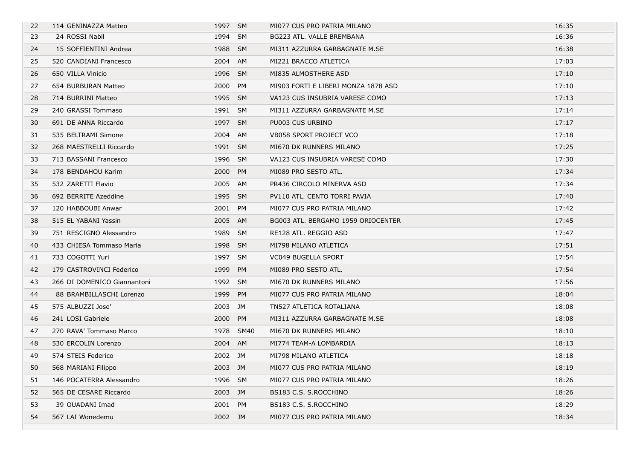| 22 | 114 GENINAZZA Matteo        | 1997 SM |           | MI077 CUS PRO PATRIA MILANO         | 16:35 |
|----|-----------------------------|---------|-----------|-------------------------------------|-------|
| 23 | 24 ROSSI Nabil              | 1994 SM |           | BG223 ATL. VALLE BREMBANA           | 16:36 |
| 24 | 15 SOFFIENTINI Andrea       | 1988 SM |           | MI311 AZZURRA GARBAGNATE M.SE       | 16:38 |
| 25 | 520 CANDIANI Francesco      | 2004 AM |           | MI221 BRACCO ATLETICA               | 17:03 |
| 26 | 650 VILLA Vinicio           | 1996 SM |           | MI835 ALMOSTHERE ASD                | 17:10 |
| 27 | 654 BURBURAN Matteo         | 2000 PM |           | MI903 FORTI E LIBERI MONZA 1878 ASD | 17:10 |
| 28 | 714 BURRINI Matteo          | 1995 SM |           | VA123 CUS INSUBRIA VARESE COMO      | 17:13 |
| 29 | 240 GRASSI Tommaso          | 1991 SM |           | MI311 AZZURRA GARBAGNATE M.SE       | 17:14 |
| 30 | 691 DE ANNA Riccardo        | 1997 SM |           | PU003 CUS URBINO                    | 17:17 |
| 31 | 535 BELTRAMI Simone         | 2004 AM |           | VB058 SPORT PROJECT VCO             | 17:18 |
| 32 | 268 MAESTRELLI Riccardo     | 1991 SM |           | MI670 DK RUNNERS MILANO             | 17:25 |
| 33 | 713 BASSANI Francesco       | 1996 SM |           | VA123 CUS INSUBRIA VARESE COMO      | 17:30 |
| 34 | 178 BENDAHOU Karim          | 2000 PM |           | MI089 PRO SESTO ATL.                | 17:34 |
| 35 | 532 ZARETTI Flavio          | 2005 AM |           | PR436 CIRCOLO MINERVA ASD           | 17:34 |
| 36 | 692 BERRITE Azeddine        | 1995 SM |           | PV110 ATL. CENTO TORRI PAVIA        | 17:40 |
| 37 | 120 HABBOUBI Anwar          | 2001 PM |           | MI077 CUS PRO PATRIA MILANO         | 17:42 |
| 38 | 515 EL YABANI Yassin        | 2005 AM |           | BG003 ATL. BERGAMO 1959 ORIOCENTER  | 17:45 |
| 39 | 751 RESCIGNO Alessandro     | 1989 SM |           | RE128 ATL. REGGIO ASD               | 17:47 |
| 40 | 433 CHIESA Tommaso Maria    | 1998 SM |           | MI798 MILANO ATLETICA               | 17:51 |
| 41 | 733 COGOTTI Yuri            | 1997 SM |           | VC049 BUGELLA SPORT                 | 17:54 |
| 42 | 179 CASTROVINCI Federico    | 1999 PM |           | MI089 PRO SESTO ATL.                | 17:54 |
| 43 | 266 DI DOMENICO Giannantoni | 1992 SM |           | MI670 DK RUNNERS MILANO             | 17:56 |
| 44 | 88 BRAMBILLASCHI Lorenzo    | 1999 PM |           | MI077 CUS PRO PATRIA MILANO         | 18:04 |
| 45 | 575 ALBUZZI Jose'           | 2003 JM |           | TN527 ATLETICA ROTALIANA            | 18:08 |
| 46 | 241 LOSI Gabriele           | 2000 PM |           | MI311 AZZURRA GARBAGNATE M.SE       | 18:08 |
| 47 | 270 RAVA' Tommaso Marco     |         | 1978 SM40 | MI670 DK RUNNERS MILANO             | 18:10 |
| 48 | 530 ERCOLIN Lorenzo         | 2004 AM |           | MI774 TEAM-A LOMBARDIA              | 18:13 |
| 49 | 574 STEIS Federico          | 2002 JM |           | MI798 MILANO ATLETICA               | 18:18 |
| 50 | 568 MARIANI Filippo         | 2003 JM |           | MI077 CUS PRO PATRIA MILANO         | 18:19 |
| 51 | 146 POCATERRA Alessandro    | 1996 SM |           | MI077 CUS PRO PATRIA MILANO         | 18:26 |
| 52 | 565 DE CESARE Riccardo      | 2003 JM |           | BS183 C.S. S.ROCCHINO               | 18:26 |
| 53 | 39 OUADANI Imad             | 2001 PM |           | BS183 C.S. S.ROCCHINO               | 18:29 |
| 54 | 567 LAI Wonedemu            | 2002 JM |           | MI077 CUS PRO PATRIA MILANO         | 18:34 |
|    |                             |         |           |                                     |       |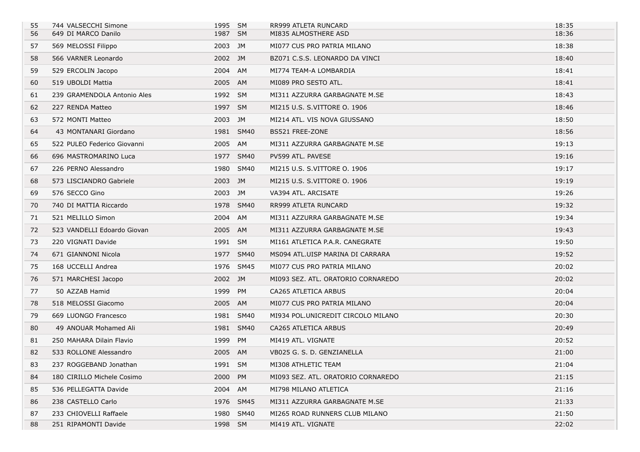| 55 | 744 VALSECCHI Simone        | 1995 SM |             | RR999 ATLETA RUNCARD               | 18:35 |
|----|-----------------------------|---------|-------------|------------------------------------|-------|
| 56 | 649 DI MARCO Danilo         | 1987 SM |             | MI835 ALMOSTHERE ASD               | 18:36 |
| 57 | 569 MELOSSI Filippo         | 2003 JM |             | MI077 CUS PRO PATRIA MILANO        | 18:38 |
| 58 | 566 VARNER Leonardo         | 2002 JM |             | BZ071 C.S.S. LEONARDO DA VINCI     | 18:40 |
| 59 | 529 ERCOLIN Jacopo          | 2004 AM |             | MI774 TEAM-A LOMBARDIA             | 18:41 |
| 60 | 519 UBOLDI Mattia           | 2005 AM |             | MI089 PRO SESTO ATL.               | 18:41 |
| 61 | 239 GRAMENDOLA Antonio Ales | 1992 SM |             | MI311 AZZURRA GARBAGNATE M.SE      | 18:43 |
| 62 | 227 RENDA Matteo            | 1997 SM |             | MI215 U.S. S.VITTORE O. 1906       | 18:46 |
| 63 | 572 MONTI Matteo            | 2003 JM |             | MI214 ATL. VIS NOVA GIUSSANO       | 18:50 |
| 64 | 43 MONTANARI Giordano       |         | 1981 SM40   | BS521 FREE-ZONE                    | 18:56 |
| 65 | 522 PULEO Federico Giovanni | 2005 AM |             | MI311 AZZURRA GARBAGNATE M.SE      | 19:13 |
| 66 | 696 MASTROMARINO Luca       |         | 1977 SM40   | PV599 ATL. PAVESE                  | 19:16 |
| 67 | 226 PERNO Alessandro        | 1980    | SM40        | MI215 U.S. S.VITTORE O. 1906       | 19:17 |
| 68 | 573 LISCIANDRO Gabriele     | 2003 JM |             | MI215 U.S. S.VITTORE O. 1906       | 19:19 |
| 69 | 576 SECCO Gino              | 2003 JM |             | VA394 ATL. ARCISATE                | 19:26 |
| 70 | 740 DI MATTIA Riccardo      |         | 1978 SM40   | RR999 ATLETA RUNCARD               | 19:32 |
| 71 | 521 MELILLO Simon           | 2004 AM |             | MI311 AZZURRA GARBAGNATE M.SE      | 19:34 |
| 72 | 523 VANDELLI Edoardo Giovan | 2005 AM |             | MI311 AZZURRA GARBAGNATE M.SE      | 19:43 |
| 73 | 220 VIGNATI Davide          | 1991 SM |             | MI161 ATLETICA P.A.R. CANEGRATE    | 19:50 |
| 74 | 671 GIANNONI Nicola         |         | 1977 SM40   | MS094 ATL.UISP MARINA DI CARRARA   | 19:52 |
| 75 | 168 UCCELLI Andrea          |         | 1976 SM45   | MI077 CUS PRO PATRIA MILANO        | 20:02 |
| 76 | 571 MARCHESI Jacopo         | 2002 JM |             | MI093 SEZ. ATL. ORATORIO CORNAREDO | 20:02 |
| 77 | 50 AZZAB Hamid              | 1999 PM |             | CA265 ATLETICA ARBUS               | 20:04 |
| 78 | 518 MELOSSI Giacomo         | 2005 AM |             | MI077 CUS PRO PATRIA MILANO        | 20:04 |
| 79 | 669 LUONGO Francesco        |         | 1981 SM40   | MI934 POL.UNICREDIT CIRCOLO MILANO | 20:30 |
| 80 | 49 ANOUAR Mohamed Ali       |         | 1981 SM40   | CA265 ATLETICA ARBUS               | 20:49 |
| 81 | 250 MAHARA Dilain Flavio    | 1999 PM |             | MI419 ATL. VIGNATE                 | 20:52 |
| 82 | 533 ROLLONE Alessandro      | 2005 AM |             | VB025 G. S. D. GENZIANELLA         | 21:00 |
| 83 | 237 ROGGEBAND Jonathan      | 1991 SM |             | MI308 ATHLETIC TEAM                | 21:04 |
| 84 | 180 CIRILLO Michele Cosimo  | 2000    | PM          | MI093 SEZ. ATL. ORATORIO CORNAREDO | 21:15 |
| 85 | 536 PELLEGATTA Davide       | 2004    | AM          | MI798 MILANO ATLETICA              | 21:16 |
| 86 | 238 CASTELLO Carlo          | 1976    | <b>SM45</b> | MI311 AZZURRA GARBAGNATE M.SE      | 21:33 |
| 87 | 233 CHIOVELLI Raffaele      | 1980    | <b>SM40</b> | MI265 ROAD RUNNERS CLUB MILANO     | 21:50 |
| 88 | 251 RIPAMONTI Davide        | 1998 SM |             | MI419 ATL. VIGNATE                 | 22:02 |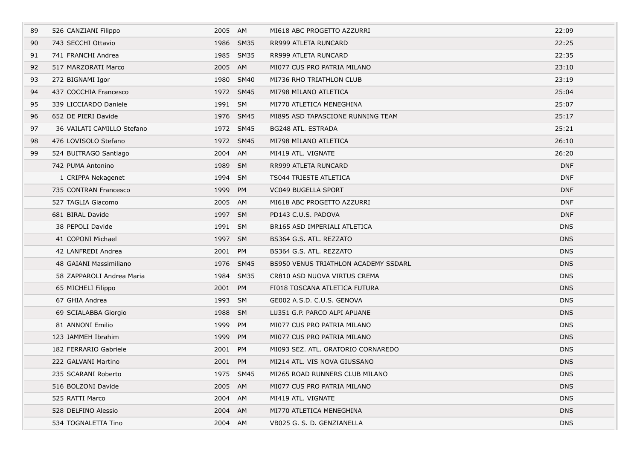| 89 | 526 CANZIANI Filippo       | 2005 AM |           | MI618 ABC PROGETTO AZZURRI                  | 22:09      |
|----|----------------------------|---------|-----------|---------------------------------------------|------------|
| 90 | 743 SECCHI Ottavio         |         | 1986 SM35 | RR999 ATLETA RUNCARD                        | 22:25      |
| 91 | 741 FRANCHI Andrea         |         | 1985 SM35 | RR999 ATLETA RUNCARD                        | 22:35      |
| 92 | 517 MARZORATI Marco        | 2005 AM |           | MI077 CUS PRO PATRIA MILANO                 | 23:10      |
| 93 | 272 BIGNAMI Igor           |         | 1980 SM40 | MI736 RHO TRIATHLON CLUB                    | 23:19      |
| 94 | 437 COCCHIA Francesco      |         | 1972 SM45 | MI798 MILANO ATLETICA                       | 25:04      |
| 95 | 339 LICCIARDO Daniele      | 1991 SM |           | MI770 ATLETICA MENEGHINA                    | 25:07      |
| 96 | 652 DE PIERI Davide        |         | 1976 SM45 | MI895 ASD TAPASCIONE RUNNING TEAM           | 25:17      |
| 97 | 36 VAILATI CAMILLO Stefano |         | 1972 SM45 | BG248 ATL. ESTRADA                          | 25:21      |
| 98 | 476 LOVISOLO Stefano       |         | 1972 SM45 | MI798 MILANO ATLETICA                       | 26:10      |
| 99 | 524 BUITRAGO Santiago      | 2004 AM |           | MI419 ATL. VIGNATE                          | 26:20      |
|    | 742 PUMA Antonino          | 1989 SM |           | RR999 ATLETA RUNCARD                        | <b>DNF</b> |
|    | 1 CRIPPA Nekagenet         | 1994 SM |           | TS044 TRIESTE ATLETICA                      | <b>DNF</b> |
|    | 735 CONTRAN Francesco      | 1999 PM |           | <b>VC049 BUGELLA SPORT</b>                  | <b>DNF</b> |
|    | 527 TAGLIA Giacomo         | 2005 AM |           | MI618 ABC PROGETTO AZZURRI                  | <b>DNF</b> |
|    | 681 BIRAL Davide           | 1997 SM |           | PD143 C.U.S. PADOVA                         | <b>DNF</b> |
|    | 38 PEPOLI Davide           | 1991 SM |           | BR165 ASD IMPERIALI ATLETICA                | <b>DNS</b> |
|    | 41 COPONI Michael          | 1997 SM |           | BS364 G.S. ATL. REZZATO                     | <b>DNS</b> |
|    | 42 LANFREDI Andrea         | 2001 PM |           | BS364 G.S. ATL. REZZATO                     | <b>DNS</b> |
|    | 48 GAIANI Massimiliano     |         | 1976 SM45 | <b>BS950 VENUS TRIATHLON ACADEMY SSDARL</b> | <b>DNS</b> |
|    | 58 ZAPPAROLI Andrea Maria  |         | 1984 SM35 | CR810 ASD NUOVA VIRTUS CREMA                | <b>DNS</b> |
|    | 65 MICHELI Filippo         | 2001 PM |           | FI018 TOSCANA ATLETICA FUTURA               | <b>DNS</b> |
|    | 67 GHIA Andrea             | 1993 SM |           | GE002 A.S.D. C.U.S. GENOVA                  | <b>DNS</b> |
|    | 69 SCIALABBA Giorgio       | 1988 SM |           | LU351 G.P. PARCO ALPI APUANE                | <b>DNS</b> |
|    | 81 ANNONI Emilio           | 1999 PM |           | MI077 CUS PRO PATRIA MILANO                 | <b>DNS</b> |
|    | 123 JAMMEH Ibrahim         | 1999    | PM        | MI077 CUS PRO PATRIA MILANO                 | <b>DNS</b> |
|    | 182 FERRARIO Gabriele      | 2001 PM |           | MI093 SEZ. ATL. ORATORIO CORNAREDO          | <b>DNS</b> |
|    | 222 GALVANI Martino        | 2001 PM |           | MI214 ATL. VIS NOVA GIUSSANO                | <b>DNS</b> |
|    | 235 SCARANI Roberto        |         | 1975 SM45 | MI265 ROAD RUNNERS CLUB MILANO              | <b>DNS</b> |
|    | 516 BOLZONI Davide         | 2005 AM |           | MI077 CUS PRO PATRIA MILANO                 | <b>DNS</b> |
|    | 525 RATTI Marco            | 2004 AM |           | MI419 ATL, VIGNATE                          | <b>DNS</b> |
|    | 528 DELFINO Alessio        | 2004 AM |           | MI770 ATLETICA MENEGHINA                    | <b>DNS</b> |
|    | 534 TOGNALETTA Tino        | 2004 AM |           | VB025 G. S. D. GENZIANELLA                  | <b>DNS</b> |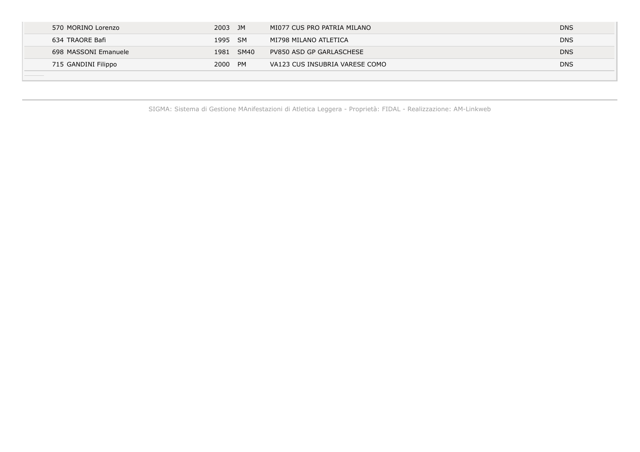| 570 MORINO Lorenzo   | 2003 JM |           | MI077 CUS PRO PATRIA MILANO    | <b>DNS</b> |
|----------------------|---------|-----------|--------------------------------|------------|
| 634 TRAORE Bafi      | 1995 SM |           | MI798 MILANO ATLETICA          | <b>DNS</b> |
| 698 MASSONI Emanuele |         | 1981 SM40 | PV850 ASD GP GARLASCHESE       | <b>DNS</b> |
| 715 GANDINI Filippo  | 2000 PM |           | VA123 CUS INSUBRIA VARESE COMO | <b>DNS</b> |
|                      |         |           |                                |            |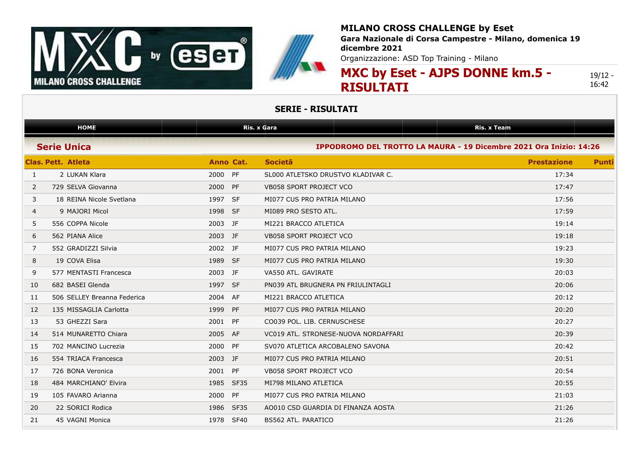



**Gara Nazionale di Corsa Campestre - Milano, domenica 19 dicembre 2021**

Organizzazione: ASD Top Training - Milano

# **MXC by Eset - AJPS DONNE km.5 - RISULTATI**

19/12 - 16:42

|                | <b>HOME</b>                 |           |             | <b>Ris. x Gara</b>                                                 | <b>Ris. x Team</b> |              |
|----------------|-----------------------------|-----------|-------------|--------------------------------------------------------------------|--------------------|--------------|
|                | <b>Serie Unica</b>          |           |             | IPPODROMO DEL TROTTO LA MAURA - 19 Dicembre 2021 Ora Inizio: 14:26 |                    |              |
|                | <b>Clas, Pett. Atleta</b>   | Anno Cat. |             | <b>Societa</b>                                                     | <b>Prestazione</b> | <b>Punti</b> |
| $\mathbf{1}$   | 2 LUKAN Klara               | 2000 PF   |             | SL000 ATLETSKO DRUSTVO KLADIVAR C.                                 | 17:34              |              |
| $\overline{2}$ | 729 SELVA Giovanna          | 2000      | PF          | <b>VB058 SPORT PROJECT VCO</b>                                     | 17:47              |              |
| 3              | 18 REINA Nicole Svetlana    | 1997 SF   |             | MI077 CUS PRO PATRIA MILANO                                        | 17:56              |              |
| 4              | 9 MAJORI Micol              | 1998 SF   |             | MI089 PRO SESTO ATL.                                               | 17:59              |              |
| 5              | 556 COPPA Nicole            | 2003 JF   |             | MI221 BRACCO ATLETICA                                              | 19:14              |              |
| 6              | 562 PIANA Alice             | 2003 JF   |             | <b>VB058 SPORT PROJECT VCO</b>                                     | 19:18              |              |
| 7              | 552 GRADIZZI Silvia         | 2002 JF   |             | MI077 CUS PRO PATRIA MILANO                                        | 19:23              |              |
| 8              | 19 COVA Elisa               | 1989 SF   |             | MI077 CUS PRO PATRIA MILANO                                        | 19:30              |              |
| 9              | 577 MENTASTI Francesca      | 2003 JF   |             | VA550 ATL. GAVIRATE                                                | 20:03              |              |
| 10             | 682 BASEI Glenda            | 1997 SF   |             | PN039 ATL BRUGNERA PN FRIULINTAGLI                                 | 20:06              |              |
| 11             | 506 SELLEY Breanna Federica | 2004      | AF          | MI221 BRACCO ATLETICA                                              | 20:12              |              |
| 12             | 135 MISSAGLIA Carlotta      | 1999      | PF          | MI077 CUS PRO PATRIA MILANO                                        | 20:20              |              |
| 13             | 53 GHEZZI Sara              | 2001      | PF          | CO039 POL. LIB. CERNUSCHESE                                        | 20:27              |              |
| 14             | 514 MUNARETTO Chiara        | 2005      | AF          | VC019 ATL, STRONESE-NUOVA NORDAFFARI                               | 20:39              |              |
| 15             | 702 MANCINO Lucrezia        | 2000      | PF          | SV070 ATLETICA ARCOBALENO SAVONA                                   | 20:42              |              |
| 16             | 554 TRIACA Francesca        | 2003      | JF          | MI077 CUS PRO PATRIA MILANO                                        | 20:51              |              |
| 17             | 726 BONA Veronica           | 2001 PF   |             | VB058 SPORT PROJECT VCO                                            | 20:54              |              |
| 18             | 484 MARCHIANO' Elvira       | 1985      | <b>SF35</b> | MI798 MILANO ATLETICA                                              | 20:55              |              |
| 19             | 105 FAVARO Arianna          | 2000      | PF          | MI077 CUS PRO PATRIA MILANO                                        | 21:03              |              |
| 20             | 22 SORICI Rodica            | 1986      | <b>SF35</b> | AO010 CSD GUARDIA DI FINANZA AOSTA                                 | 21:26              |              |
| 21             | 45 VAGNI Monica             | 1978      | <b>SF40</b> | <b>BS562 ATL, PARATICO</b>                                         | 21:26              |              |
|                |                             |           |             |                                                                    |                    |              |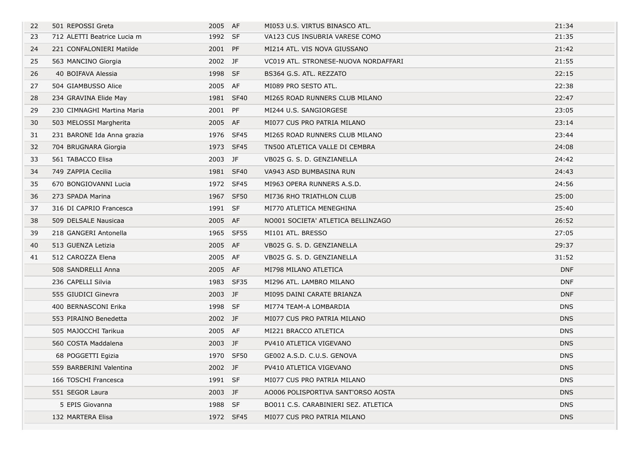| 22 | 501 REPOSSI Greta           | 2005 AF |             | MI053 U.S. VIRTUS BINASCO ATL.       | 21:34      |
|----|-----------------------------|---------|-------------|--------------------------------------|------------|
| 23 | 712 ALETTI Beatrice Lucia m | 1992 SF |             | VA123 CUS INSUBRIA VARESE COMO       | 21:35      |
| 24 | 221 CONFALONIERI Matilde    | 2001 PF |             | MI214 ATL. VIS NOVA GIUSSANO         | 21:42      |
| 25 | 563 MANCINO Giorgia         | 2002 JF |             | VC019 ATL. STRONESE-NUOVA NORDAFFARI | 21:55      |
| 26 | 40 BOIFAVA Alessia          | 1998 SF |             | BS364 G.S. ATL. REZZATO              | 22:15      |
| 27 | 504 GIAMBUSSO Alice         | 2005 AF |             | MI089 PRO SESTO ATL.                 | 22:38      |
| 28 | 234 GRAVINA Elide May       |         | 1981 SF40   | MI265 ROAD RUNNERS CLUB MILANO       | 22:47      |
| 29 | 230 CIMNAGHI Martina Maria  | 2001 PF |             | MI244 U.S. SANGIORGESE               | 23:05      |
| 30 | 503 MELOSSI Margherita      | 2005 AF |             | MI077 CUS PRO PATRIA MILANO          | 23:14      |
| 31 | 231 BARONE Ida Anna grazia  |         | 1976 SF45   | MI265 ROAD RUNNERS CLUB MILANO       | 23:44      |
| 32 | 704 BRUGNARA Giorgia        |         | 1973 SF45   | TN500 ATLETICA VALLE DI CEMBRA       | 24:08      |
| 33 | 561 TABACCO Elisa           | 2003 JF |             | VB025 G. S. D. GENZIANELLA           | 24:42      |
| 34 | 749 ZAPPIA Cecilia          |         | 1981 SF40   | VA943 ASD BUMBASINA RUN              | 24:43      |
| 35 | 670 BONGIOVANNI Lucia       |         | 1972 SF45   | MI963 OPERA RUNNERS A.S.D.           | 24:56      |
| 36 | 273 SPADA Marina            | 1967    | <b>SF50</b> | MI736 RHO TRIATHLON CLUB             | 25:00      |
| 37 | 316 DI CAPRIO Francesca     | 1991 SF |             | MI770 ATLETICA MENEGHINA             | 25:40      |
| 38 | 509 DELSALE Nausicaa        | 2005 AF |             | NO001 SOCIETA' ATLETICA BELLINZAGO   | 26:52      |
| 39 | 218 GANGERI Antonella       |         | 1965 SF55   | MI101 ATL. BRESSO                    | 27:05      |
| 40 | 513 GUENZA Letizia          | 2005 AF |             | VB025 G. S. D. GENZIANELLA           | 29:37      |
| 41 | 512 CAROZZA Elena           | 2005 AF |             | VB025 G. S. D. GENZIANELLA           | 31:52      |
|    | 508 SANDRELLI Anna          | 2005 AF |             | MI798 MILANO ATLETICA                | <b>DNF</b> |
|    | 236 CAPELLI Silvia          |         | 1983 SF35   | MI296 ATL. LAMBRO MILANO             | <b>DNF</b> |
|    | 555 GIUDICI Ginevra         | 2003 JF |             | MI095 DAINI CARATE BRIANZA           | <b>DNF</b> |
|    | 400 BERNASCONI Erika        | 1998 SF |             | MI774 TEAM-A LOMBARDIA               | <b>DNS</b> |
|    | 553 PIRAINO Benedetta       | 2002 JF |             | MI077 CUS PRO PATRIA MILANO          | <b>DNS</b> |
|    | 505 MAJOCCHI Tarikua        | 2005 AF |             | MI221 BRACCO ATLETICA                | <b>DNS</b> |
|    | 560 COSTA Maddalena         | 2003 JF |             | PV410 ATLETICA VIGEVANO              | <b>DNS</b> |
|    | 68 POGGETTI Egizia          |         | 1970 SF50   | GE002 A.S.D. C.U.S. GENOVA           | <b>DNS</b> |
|    | 559 BARBERINI Valentina     | 2002 JF |             | PV410 ATLETICA VIGEVANO              | <b>DNS</b> |
|    | 166 TOSCHI Francesca        | 1991 SF |             | MI077 CUS PRO PATRIA MILANO          | <b>DNS</b> |
|    | 551 SEGOR Laura             | 2003 JF |             | AO006 POLISPORTIVA SANT'ORSO AOSTA   | <b>DNS</b> |
|    | 5 EPIS Giovanna             | 1988 SF |             | BO011 C.S. CARABINIERI SEZ. ATLETICA | <b>DNS</b> |
|    | 132 MARTERA Elisa           |         | 1972 SF45   | MI077 CUS PRO PATRIA MILANO          | <b>DNS</b> |
|    |                             |         |             |                                      |            |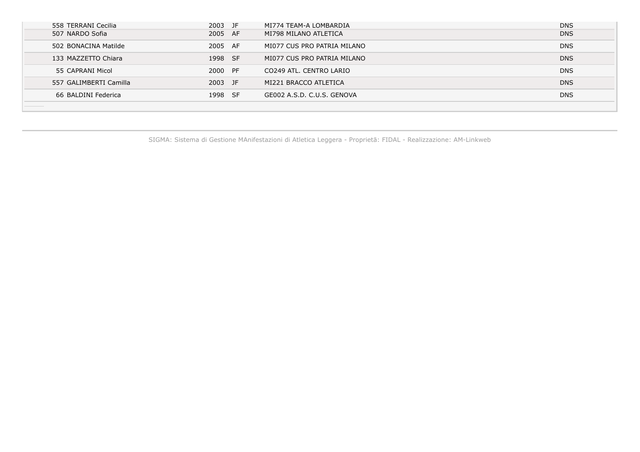| 558 TERRANI Cecilia    | 2003 JF | MI774 TEAM-A LOMBARDIA      | <b>DNS</b> |
|------------------------|---------|-----------------------------|------------|
| 507 NARDO Sofia        | 2005 AF | MI798 MILANO ATLETICA       | <b>DNS</b> |
| 502 BONACINA Matilde   | 2005 AF | MI077 CUS PRO PATRIA MILANO | <b>DNS</b> |
| 133 MAZZETTO Chiara    | 1998 SF | MI077 CUS PRO PATRIA MILANO | <b>DNS</b> |
| 55 CAPRANI Micol       | 2000 PF | CO249 ATL. CENTRO LARIO     | <b>DNS</b> |
| 557 GALIMBERTI Camilla | 2003 JF | MI221 BRACCO ATLETICA       | <b>DNS</b> |
| 66 BALDINI Federica    | 1998 SF | GE002 A.S.D. C.U.S. GENOVA  | <b>DNS</b> |
|                        |         |                             |            |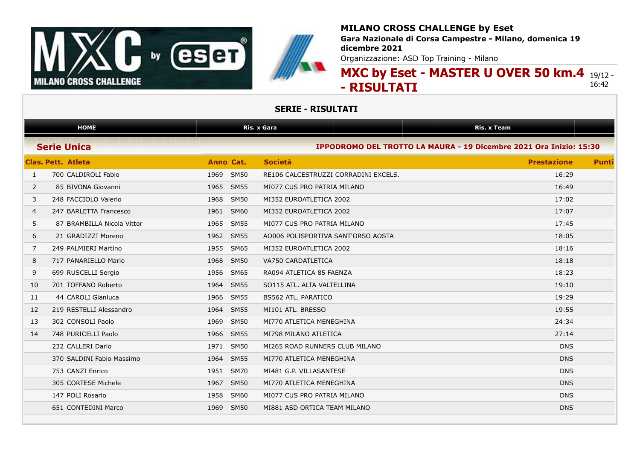

## **MILANO CROSS CHALLENGE by Eset Gara Nazionale di Corsa Campestre - Milano, domenica 19**

**dicembre 2021**

Organizzazione: ASD Top Training - Milano

### **MXC by Eset - MASTER U OVER 50 km.4** 19/12 - **- RISULTATI** 16:42

|                | <b>HOME</b>                |                     | Ris. x Gara                                                        | <b>Ris. x Team</b> |              |
|----------------|----------------------------|---------------------|--------------------------------------------------------------------|--------------------|--------------|
|                | <b>Serie Unica</b>         |                     | IPPODROMO DEL TROTTO LA MAURA - 19 Dicembre 2021 Ora Inizio: 15:30 |                    |              |
|                | <b>Clas. Pett. Atleta</b>  | Anno Cat.           | <b>Società</b>                                                     | <b>Prestazione</b> | <b>Punti</b> |
| 1              | 700 CALDIROLI Fabio        | 1969 SM50           | RE106 CALCESTRUZZI CORRADINI EXCELS.                               | 16:29              |              |
| 2              | 85 BIVONA Giovanni         | 1965 SM55           | MI077 CUS PRO PATRIA MILANO                                        | 16:49              |              |
| 3              | 248 FACCIOLO Valerio       | 1968 SM50           | MI352 EUROATLETICA 2002                                            | 17:02              |              |
| $\overline{4}$ | 247 BARLETTA Francesco     | <b>SM60</b><br>1961 | MI352 EUROATLETICA 2002                                            | 17:07              |              |
| 5              | 87 BRAMBILLA Nicola Vittor | <b>SM55</b><br>1965 | MI077 CUS PRO PATRIA MILANO                                        | 17:45              |              |
| 6              | 21 GRADIZZI Moreno         | <b>SM55</b><br>1962 | AO006 POLISPORTIVA SANT'ORSO AOSTA                                 | 18:05              |              |
| 7              | 249 PALMIERI Martino       | 1955<br><b>SM65</b> | MI352 EUROATLETICA 2002                                            | 18:16              |              |
| 8              | 717 PANARIELLO Mario       | <b>SM50</b><br>1968 | VA750 CARDATLETICA                                                 | 18:18              |              |
| 9              | 699 RUSCELLI Sergio        | 1956 SM65           | RA094 ATLETICA 85 FAENZA                                           | 18:23              |              |
| 10             | 701 TOFFANO Roberto        | 1964 SM55           | SO115 ATL. ALTA VALTELLINA                                         | 19:10              |              |
| 11             | 44 CAROLI Gianluca         | 1966 SM55           | <b>BS562 ATL. PARATICO</b>                                         | 19:29              |              |
| 12             | 219 RESTELLI Alessandro    | 1964 SM55           | MI101 ATL, BRESSO                                                  | 19:55              |              |
| 13             | 302 CONSOLI Paolo          | 1969 SM50           | MI770 ATLETICA MENEGHINA                                           | 24:34              |              |
| 14             | 748 PURICELLI Paolo        | 1966 SM55           | MI798 MILANO ATLETICA                                              | 27:14              |              |
|                | 232 CALLERI Dario          | 1971 SM50           | MI265 ROAD RUNNERS CLUB MILANO                                     | <b>DNS</b>         |              |
|                | 370 SALDINI Fabio Massimo  | 1964 SM55           | MI770 ATLETICA MENEGHINA                                           | <b>DNS</b>         |              |
|                | 753 CANZI Enrico           | <b>SM70</b><br>1951 | MI481 G.P. VILLASANTESE                                            | <b>DNS</b>         |              |
|                | 305 CORTESE Michele        | <b>SM50</b><br>1967 | MI770 ATLETICA MENEGHINA                                           | <b>DNS</b>         |              |
|                | 147 POLI Rosario           | <b>SM60</b><br>1958 | MI077 CUS PRO PATRIA MILANO                                        | <b>DNS</b>         |              |
|                | 651 CONTEDINI Marco        | 1969<br><b>SM50</b> | MI881 ASD ORTICA TEAM MILANO                                       | <b>DNS</b>         |              |
|                |                            |                     |                                                                    |                    |              |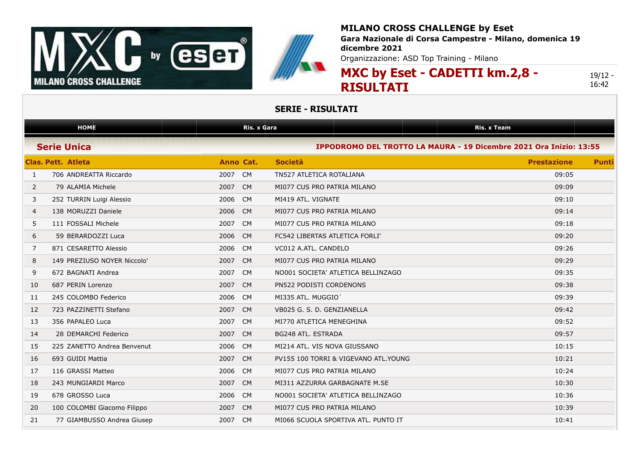



**Gara Nazionale di Corsa Campestre - Milano, domenica 19 dicembre 2021**

Organizzazione: ASD Top Training - Milano

**MXC by Eset - CADETTI km.2,8 - RISULTATI**

19/12 - 16:42

|                | <b>HOME</b>                 | Ris. x Gara       |                                                                    | Ris. x Team        |              |
|----------------|-----------------------------|-------------------|--------------------------------------------------------------------|--------------------|--------------|
|                | <b>Serie Unica</b>          |                   | IPPODROMO DEL TROTTO LA MAURA - 19 Dicembre 2021 Ora Inizio: 13:55 |                    |              |
|                | Clas. Pett. Atleta          | Anno Cat.         | <b>Società</b>                                                     | <b>Prestazione</b> | <b>Punti</b> |
| $\mathbf{1}$   | 706 ANDREATTA Riccardo      | 2007<br><b>CM</b> | TN527 ATLETICA ROTALIANA                                           | 09:05              |              |
| $\overline{2}$ | 79 ALAMIA Michele           | 2007<br><b>CM</b> | MI077 CUS PRO PATRIA MILANO                                        | 09:09              |              |
| 3              | 252 TURRIN Luigi Alessio    | 2006<br><b>CM</b> | MI419 ATL. VIGNATE                                                 | 09:10              |              |
| 4              | 138 MORUZZI Daniele         | 2006<br><b>CM</b> | MI077 CUS PRO PATRIA MILANO                                        | 09:14              |              |
| 5              | 111 FOSSALI Michele         | 2007<br><b>CM</b> | MI077 CUS PRO PATRIA MILANO                                        | 09:18              |              |
| 6              | 59 BERARDOZZI Luca          | 2006<br><b>CM</b> | FC542 LIBERTAS ATLETICA FORLI'                                     | 09:20              |              |
| $\overline{7}$ | 871 CESARETTO Alessio       | 2006<br><b>CM</b> | VC012 A.ATL. CANDELO                                               | 09:26              |              |
| 8              | 149 PREZIUSO NOYER Niccolo' | 2007<br><b>CM</b> | MI077 CUS PRO PATRIA MILANO                                        | 09:29              |              |
| 9              | 672 BAGNATI Andrea          | 2007<br><b>CM</b> | NO001 SOCIETA' ATLETICA BELLINZAGO                                 | 09:35              |              |
| 10             | 687 PERIN Lorenzo           | 2007<br><b>CM</b> | <b>PN522 PODISTI CORDENONS</b>                                     | 09:38              |              |
| 11             | 245 COLOMBO Federico        | 2006<br><b>CM</b> | MI335 ATL. MUGGIO                                                  | 09:39              |              |
| 12             | 723 PAZZINETTI Stefano      | 2007<br><b>CM</b> | VB025 G. S. D. GENZIANELLA                                         | 09:42              |              |
| 13             | 356 PAPALEO Luca            | 2007<br><b>CM</b> | MI770 ATLETICA MENEGHINA                                           | 09:52              |              |
| 14             | 28 DEMARCHI Federico        | 2007<br><b>CM</b> | <b>BG248 ATL. ESTRADA</b>                                          | 09:57              |              |
| 15             | 225 ZANETTO Andrea Benvenut | 2006<br><b>CM</b> | MI214 ATL. VIS NOVA GIUSSANO                                       | 10:15              |              |
| 16             | 693 GUIDI Mattia            | 2007<br><b>CM</b> | PV155 100 TORRI & VIGEVANO ATL. YOUNG                              | 10:21              |              |
| 17             | 116 GRASSI Matteo           | 2006<br><b>CM</b> | MI077 CUS PRO PATRIA MILANO                                        | 10:24              |              |
| 18             | 243 MUNGIARDI Marco         | 2007<br><b>CM</b> | MI311 AZZURRA GARBAGNATE M.SE                                      | 10:30              |              |
| 19             | 678 GROSSO Luca             | 2006<br><b>CM</b> | NO001 SOCIETA' ATLETICA BELLINZAGO                                 | 10:36              |              |
| 20             | 100 COLOMBI Giacomo Filippo | 2007<br><b>CM</b> | MI077 CUS PRO PATRIA MILANO                                        | 10:39              |              |
| 21             | 77 GIAMBUSSO Andrea Giusep  | 2007<br><b>CM</b> | MI066 SCUOLA SPORTIVA ATL. PUNTO IT                                | 10:41              |              |
|                |                             |                   |                                                                    |                    |              |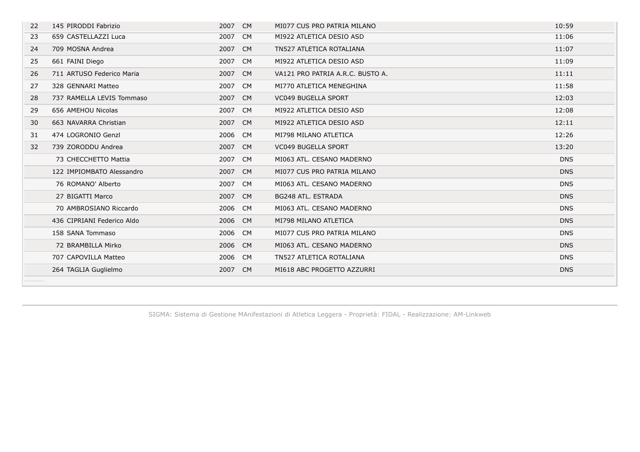| 22 | 145 PIRODDI Fabrizio       | 2007 CM | MI077 CUS PRO PATRIA MILANO      | 10:59      |
|----|----------------------------|---------|----------------------------------|------------|
| 23 | 659 CASTELLAZZI Luca       | 2007 CM | MI922 ATLETICA DESIO ASD         | 11:06      |
| 24 | 709 MOSNA Andrea           | 2007 CM | TN527 ATLETICA ROTALIANA         | 11:07      |
| 25 | 661 FAINI Diego            | 2007 CM | MI922 ATLETICA DESIO ASD         | 11:09      |
| 26 | 711 ARTUSO Federico Maria  | 2007 CM | VA121 PRO PATRIA A.R.C. BUSTO A. | 11:11      |
| 27 | 328 GENNARI Matteo         | 2007 CM | MI770 ATLETICA MENEGHINA         | 11:58      |
| 28 | 737 RAMELLA LEVIS Tommaso  | 2007 CM | <b>VC049 BUGELLA SPORT</b>       | 12:03      |
| 29 | 656 AMEHOU Nicolas         | 2007 CM | MI922 ATLETICA DESIO ASD         | 12:08      |
| 30 | 663 NAVARRA Christian      | 2007 CM | MI922 ATLETICA DESIO ASD         | 12:11      |
| 31 | 474 LOGRONIO Genzl         | 2006 CM | MI798 MILANO ATLETICA            | 12:26      |
| 32 | 739 ZORODDU Andrea         | 2007 CM | <b>VC049 BUGELLA SPORT</b>       | 13:20      |
|    | 73 CHECCHETTO Mattia       | 2007 CM | MI063 ATL. CESANO MADERNO        | <b>DNS</b> |
|    | 122 IMPIOMBATO Alessandro  | 2007 CM | MI077 CUS PRO PATRIA MILANO      | <b>DNS</b> |
|    | 76 ROMANO' Alberto         | 2007 CM | MI063 ATL. CESANO MADERNO        | <b>DNS</b> |
|    | 27 BIGATTI Marco           | 2007 CM | BG248 ATL. ESTRADA               | <b>DNS</b> |
|    | 70 AMBROSIANO Riccardo     | 2006 CM | MI063 ATL. CESANO MADERNO        | <b>DNS</b> |
|    | 436 CIPRIANI Federico Aldo | 2006 CM | MI798 MILANO ATLETICA            | <b>DNS</b> |
|    | 158 SANA Tommaso           | 2006 CM | MI077 CUS PRO PATRIA MILANO      | <b>DNS</b> |
|    | 72 BRAMBILLA Mirko         | 2006 CM | MI063 ATL, CESANO MADERNO        | <b>DNS</b> |
|    | 707 CAPOVILLA Matteo       | 2006 CM | TN527 ATLETICA ROTALIANA         | <b>DNS</b> |
|    | 264 TAGLIA Guglielmo       | 2007 CM | MI618 ABC PROGETTO AZZURRI       | <b>DNS</b> |
|    |                            |         |                                  |            |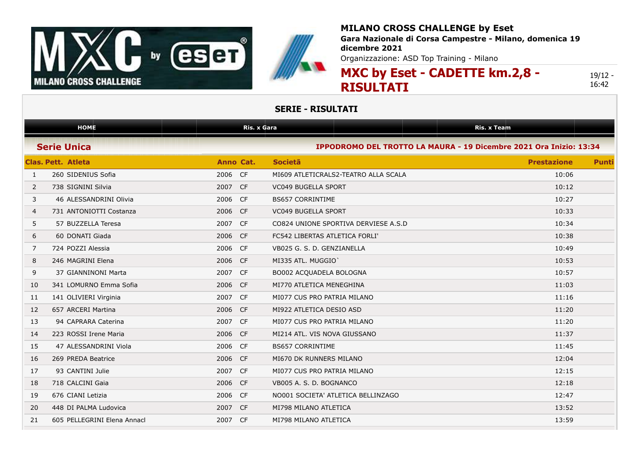



**Gara Nazionale di Corsa Campestre - Milano, domenica 19 dicembre 2021**

Organizzazione: ASD Top Training - Milano

**MXC by Eset - CADETTE km.2,8 - RISULTATI**

19/12 - 16:42

|              | <b>HOME</b>                 |            | <b>Ris. x Gara</b>                                                 | <b>Ris. x Team</b> |              |
|--------------|-----------------------------|------------|--------------------------------------------------------------------|--------------------|--------------|
|              | <b>Serie Unica</b>          |            | IPPODROMO DEL TROTTO LA MAURA - 19 Dicembre 2021 Ora Inizio: 13:34 |                    |              |
|              | <b>Clas. Pett. Atleta</b>   | Anno Cat.  | Societã                                                            | <b>Prestazione</b> | <b>Punti</b> |
| $\mathbf{1}$ | 260 SIDENIUS Sofia          | 2006 CF    | MI609 ATLETICRALS2-TEATRO ALLA SCALA                               | 10:06              |              |
| 2            | 738 SIGNINI Silvia          | 2007<br>CF | <b>VC049 BUGELLA SPORT</b>                                         | 10:12              |              |
| 3            | 46 ALESSANDRINI Olivia      | 2006<br>CF | <b>BS657 CORRINTIME</b>                                            | 10:27              |              |
| 4            | 731 ANTONIOTTI Costanza     | 2006<br>CF | <b>VC049 BUGELLA SPORT</b>                                         | 10:33              |              |
| 5            | 57 BUZZELLA Teresa          | 2007<br>CF | CO824 UNIONE SPORTIVA DERVIESE A.S.D                               | 10:34              |              |
| 6            | 60 DONATI Giada             | 2006<br>CF | FC542 LIBERTAS ATLETICA FORLI'                                     | 10:38              |              |
| 7            | 724 POZZI Alessia           | 2006 CF    | VB025 G. S. D. GENZIANELLA                                         | 10:49              |              |
| 8            | 246 MAGRINI Elena           | 2006 CF    | MI335 ATL. MUGGIO                                                  | 10:53              |              |
| 9            | 37 GIANNINONI Marta         | 2007 CF    | BO002 ACQUADELA BOLOGNA                                            | 10:57              |              |
| 10           | 341 LOMURNO Emma Sofia      | 2006<br>CF | MI770 ATLETICA MENEGHINA                                           | 11:03              |              |
| 11           | 141 OLIVIERI Virginia       | 2007 CF    | MI077 CUS PRO PATRIA MILANO                                        | 11:16              |              |
| 12           | 657 ARCERI Martina          | 2006 CF    | MI922 ATLETICA DESIO ASD                                           | 11:20              |              |
| 13           | 94 CAPRARA Caterina         | 2007 CF    | MI077 CUS PRO PATRIA MILANO                                        | 11:20              |              |
| 14           | 223 ROSSI Irene Maria       | 2006 CF    | MI214 ATL. VIS NOVA GIUSSANO                                       | 11:37              |              |
| 15           | 47 ALESSANDRINI Viola       | 2006 CF    | <b>BS657 CORRINTIME</b>                                            | 11:45              |              |
| 16           | 269 PREDA Beatrice          | 2006<br>CF | MI670 DK RUNNERS MILANO                                            | 12:04              |              |
| 17           | 93 CANTINI Julie            | 2007 CF    | MI077 CUS PRO PATRIA MILANO                                        | 12:15              |              |
| 18           | 718 CALCINI Gaia            | 2006 CF    | VB005 A. S. D. BOGNANCO                                            | 12:18              |              |
| 19           | 676 CIANI Letizia           | 2006 CF    | NO001 SOCIETA' ATLETICA BELLINZAGO                                 | 12:47              |              |
| 20           | 448 DI PALMA Ludovica       | 2007<br>CF | MI798 MILANO ATLETICA                                              | 13:52              |              |
| 21           | 605 PELLEGRINI Elena Annacl | 2007 CF    | MI798 MILANO ATLETICA                                              | 13:59              |              |
|              |                             |            |                                                                    |                    |              |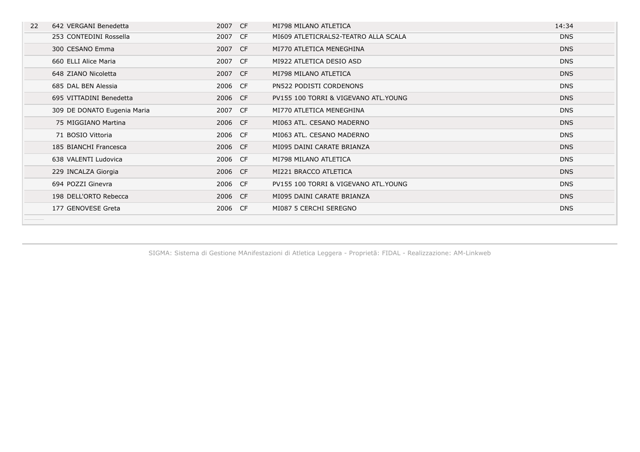| 22 | 642 VERGANI Benedetta       | 2007 CF | MI798 MILANO ATLETICA                 | 14:34      |
|----|-----------------------------|---------|---------------------------------------|------------|
|    | 253 CONTEDINI Rossella      | 2007 CF | MI609 ATLETICRALS2-TEATRO ALLA SCALA  | <b>DNS</b> |
|    | 300 CESANO Emma             | 2007 CF | MI770 ATLETICA MENEGHINA              | <b>DNS</b> |
|    | 660 ELLI Alice Maria        | 2007 CF | MI922 ATLETICA DESIO ASD              | <b>DNS</b> |
|    | 648 ZIANO Nicoletta         | 2007 CF | MI798 MILANO ATLETICA                 | <b>DNS</b> |
|    | 685 DAL BEN Alessia         | 2006 CF | PN522 PODISTI CORDENONS               | <b>DNS</b> |
|    | 695 VITTADINI Benedetta     | 2006 CF | PV155 100 TORRI & VIGEVANO ATL.YOUNG  | <b>DNS</b> |
|    | 309 DE DONATO Eugenia Maria | 2007 CF | MI770 ATLETICA MENEGHINA              | <b>DNS</b> |
|    | 75 MIGGIANO Martina         | 2006 CF | MI063 ATL. CESANO MADERNO             | <b>DNS</b> |
|    | 71 BOSIO Vittoria           | 2006 CF | MI063 ATL. CESANO MADERNO             | <b>DNS</b> |
|    | 185 BIANCHI Francesca       | 2006 CF | MI095 DAINI CARATE BRIANZA            | <b>DNS</b> |
|    | 638 VALENTI Ludovica        | 2006 CF | MI798 MILANO ATLETICA                 | <b>DNS</b> |
|    | 229 INCALZA Giorgia         | 2006 CF | MI221 BRACCO ATLETICA                 | <b>DNS</b> |
|    | 694 POZZI Ginevra           | 2006 CF | PV155 100 TORRI & VIGEVANO ATL. YOUNG | <b>DNS</b> |
|    | 198 DELL'ORTO Rebecca       | 2006 CF | MI095 DAINI CARATE BRIANZA            | <b>DNS</b> |
|    | 177 GENOVESE Greta          | 2006 CF | MI087 5 CERCHI SEREGNO                | <b>DNS</b> |
|    |                             |         |                                       |            |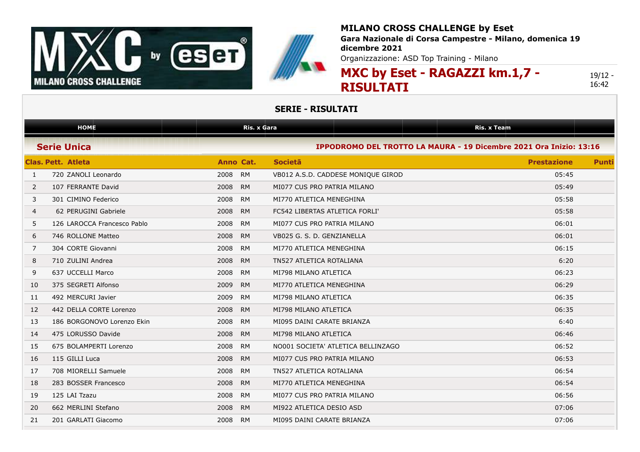



**Gara Nazionale di Corsa Campestre - Milano, domenica 19 dicembre 2021**

Organizzazione: ASD Top Training - Milano

**MXC by Eset - RAGAZZI km.1,7 - RISULTATI**

19/12 - 16:42

|    | <b>HOME</b>                 | <b>Ris. x Gara</b> |                                                                    | <b>Ris. x Team</b> |              |
|----|-----------------------------|--------------------|--------------------------------------------------------------------|--------------------|--------------|
|    | <b>Serie Unica</b>          |                    | IPPODROMO DEL TROTTO LA MAURA - 19 Dicembre 2021 Ora Inizio: 13:16 |                    |              |
|    | Clas, Pett. Atleta          | Anno Cat.          | <b>Societa</b>                                                     | <b>Prestazione</b> | <b>Punti</b> |
| 1  | 720 ZANOLI Leonardo         | 2008<br><b>RM</b>  | VB012 A.S.D. CADDESE MONIQUE GIROD                                 | 05:45              |              |
| 2  | 107 FERRANTE David          | 2008<br><b>RM</b>  | MI077 CUS PRO PATRIA MILANO                                        | 05:49              |              |
| 3  | 301 CIMINO Federico         | 2008<br><b>RM</b>  | MI770 ATLETICA MENEGHINA                                           | 05:58              |              |
| 4  | 62 PERUGINI Gabriele        | 2008<br><b>RM</b>  | FC542 LIBERTAS ATLETICA FORLI'                                     | 05:58              |              |
| 5  | 126 LAROCCA Francesco Pablo | 2008<br><b>RM</b>  | MI077 CUS PRO PATRIA MILANO                                        | 06:01              |              |
| 6  | 746 ROLLONE Matteo          | 2008<br><b>RM</b>  | VB025 G. S. D. GENZIANELLA                                         | 06:01              |              |
| 7  | 304 CORTE Giovanni          | 2008<br><b>RM</b>  | MI770 ATLETICA MENEGHINA                                           | 06:15              |              |
| 8  | 710 ZULINI Andrea           | 2008<br><b>RM</b>  | TN527 ATLETICA ROTALIANA                                           | 6:20               |              |
| 9  | 637 UCCELLI Marco           | 2008<br><b>RM</b>  | MI798 MILANO ATLETICA                                              | 06:23              |              |
| 10 | 375 SEGRETI Alfonso         | 2009<br><b>RM</b>  | MI770 ATLETICA MENEGHINA                                           | 06:29              |              |
| 11 | 492 MERCURI Javier          | 2009<br><b>RM</b>  | MI798 MILANO ATLETICA                                              | 06:35              |              |
| 12 | 442 DELLA CORTE Lorenzo     | 2008<br><b>RM</b>  | MI798 MILANO ATLETICA                                              | 06:35              |              |
| 13 | 186 BORGONOVO Lorenzo Ekin  | 2008<br><b>RM</b>  | MI095 DAINI CARATE BRIANZA                                         | 6:40               |              |
| 14 | 475 LORUSSO Davide          | 2008<br><b>RM</b>  | MI798 MILANO ATLETICA                                              | 06:46              |              |
| 15 | 675 BOLAMPERTI Lorenzo      | 2008<br><b>RM</b>  | NO001 SOCIETA' ATLETICA BELLINZAGO                                 | 06:52              |              |
| 16 | 115 GILLI Luca              | 2008<br><b>RM</b>  | MI077 CUS PRO PATRIA MILANO                                        | 06:53              |              |
| 17 | 708 MIORELLI Samuele        | 2008<br><b>RM</b>  | TN527 ATLETICA ROTALIANA                                           | 06:54              |              |
| 18 | 283 BOSSER Francesco        | 2008<br><b>RM</b>  | MI770 ATLETICA MENEGHINA                                           | 06:54              |              |
| 19 | 125 LAI Tzazu               | 2008<br><b>RM</b>  | MI077 CUS PRO PATRIA MILANO                                        | 06:56              |              |
| 20 | 662 MERLINI Stefano         | 2008<br><b>RM</b>  | MI922 ATLETICA DESIO ASD                                           | 07:06              |              |
| 21 | 201 GARLATI Giacomo         | 2008<br><b>RM</b>  | MI095 DAINI CARATE BRIANZA                                         | 07:06              |              |
|    |                             |                    |                                                                    |                    |              |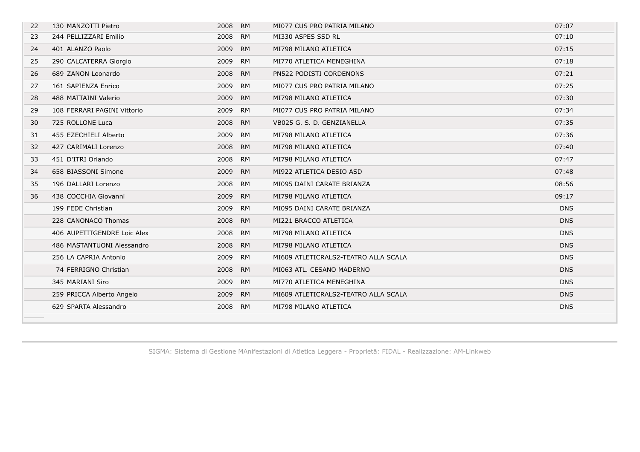| 22 | 130 MANZOTTI Pietro         | 2008 RM |           | MI077 CUS PRO PATRIA MILANO          | 07:07      |
|----|-----------------------------|---------|-----------|--------------------------------------|------------|
| 23 | 244 PELLIZZARI Emilio       | 2008    | RM        | MI330 ASPES SSD RL                   | 07:10      |
| 24 | 401 ALANZO Paolo            | 2009 RM |           | MI798 MILANO ATLETICA                | 07:15      |
| 25 | 290 CALCATERRA Giorgio      | 2009 RM |           | MI770 ATLETICA MENEGHINA             | 07:18      |
| 26 | 689 ZANON Leonardo          | 2008 RM |           | PN522 PODISTI CORDENONS              | 07:21      |
| 27 | 161 SAPIENZA Enrico         | 2009 RM |           | MI077 CUS PRO PATRIA MILANO          | 07:25      |
| 28 | 488 MATTAINI Valerio        | 2009 RM |           | MI798 MILANO ATLETICA                | 07:30      |
| 29 | 108 FERRARI PAGINI Vittorio | 2009 RM |           | MI077 CUS PRO PATRIA MILANO          | 07:34      |
| 30 | 725 ROLLONE Luca            | 2008 RM |           | VB025 G. S. D. GENZIANELLA           | 07:35      |
| 31 | 455 EZECHIELI Alberto       | 2009 RM |           | MI798 MILANO ATLETICA                | 07:36      |
| 32 | 427 CARIMALI Lorenzo        | 2008 RM |           | MI798 MILANO ATLETICA                | 07:40      |
| 33 | 451 D'ITRI Orlando          | 2008 RM |           | MI798 MILANO ATLETICA                | 07:47      |
| 34 | 658 BIASSONI Simone         | 2009 RM |           | MI922 ATLETICA DESIO ASD             | 07:48      |
| 35 | 196 DALLARI Lorenzo         | 2008    | RM        | MI095 DAINI CARATE BRIANZA           | 08:56      |
| 36 | 438 COCCHIA Giovanni        | 2009    | <b>RM</b> | MI798 MILANO ATLETICA                | 09:17      |
|    | 199 FEDE Christian          | 2009    | RM        | MI095 DAINI CARATE BRIANZA           | <b>DNS</b> |
|    | 228 CANONACO Thomas         | 2008 RM |           | MI221 BRACCO ATLETICA                | <b>DNS</b> |
|    | 406 AUPETITGENDRE Loic Alex | 2008 RM |           | MI798 MILANO ATLETICA                | <b>DNS</b> |
|    | 486 MASTANTUONI Alessandro  | 2008 RM |           | MI798 MILANO ATLETICA                | <b>DNS</b> |
|    | 256 LA CAPRIA Antonio       | 2009 RM |           | MI609 ATLETICRALS2-TEATRO ALLA SCALA | <b>DNS</b> |
|    | 74 FERRIGNO Christian       | 2008 RM |           | MI063 ATL, CESANO MADERNO            | <b>DNS</b> |
|    | 345 MARIANI Siro            | 2009 RM |           | MI770 ATLETICA MENEGHINA             | <b>DNS</b> |
|    | 259 PRICCA Alberto Angelo   | 2009 RM |           | MI609 ATLETICRALS2-TEATRO ALLA SCALA | <b>DNS</b> |
|    | 629 SPARTA Alessandro       | 2008 RM |           | MI798 MILANO ATLETICA                | <b>DNS</b> |
|    |                             |         |           |                                      |            |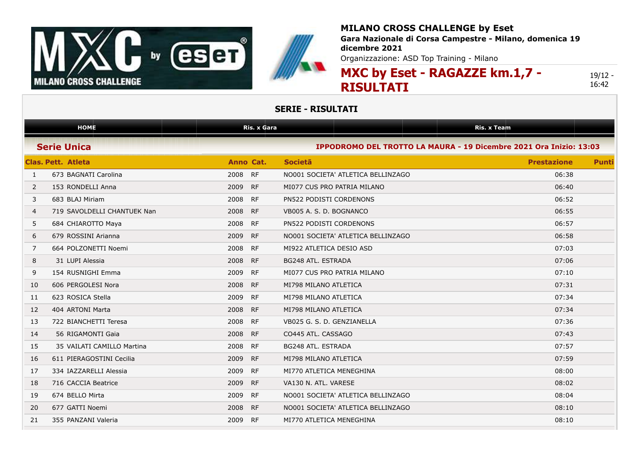



**Gara Nazionale di Corsa Campestre - Milano, domenica 19 dicembre 2021**

Organizzazione: ASD Top Training - Milano

**MXC by Eset - RAGAZZE km.1,7 - RISULTATI**

19/12 - 16:42

|                | <b>HOME</b>                 | <b>Ris. x Gara</b> |                                                                    | <b>Ris. x Team</b> |              |
|----------------|-----------------------------|--------------------|--------------------------------------------------------------------|--------------------|--------------|
|                | <b>Serie Unica</b>          |                    | IPPODROMO DEL TROTTO LA MAURA - 19 Dicembre 2021 Ora Inizio: 13:03 |                    |              |
|                | <b>Clas, Pett. Atleta</b>   | Anno Cat.          | <b>Societa</b>                                                     | <b>Prestazione</b> | <b>Punti</b> |
| 1              | 673 BAGNATI Carolina        | 2008<br>RF         | NO001 SOCIETA' ATLETICA BELLINZAGO                                 | 06:38              |              |
| 2              | 153 RONDELLI Anna           | 2009<br>RF         | MI077 CUS PRO PATRIA MILANO                                        | 06:40              |              |
| 3              | 683 BLAJ Miriam             | 2008<br><b>RF</b>  | PN522 PODISTI CORDENONS                                            | 06:52              |              |
| $\overline{4}$ | 719 SAVOLDELLI CHANTUEK Nan | 2008<br><b>RF</b>  | VB005 A. S. D. BOGNANCO                                            | 06:55              |              |
| 5              | 684 CHIAROTTO Maya          | <b>RF</b><br>2008  | PN522 PODISTI CORDENONS                                            | 06:57              |              |
| 6              | 679 ROSSINI Arianna         | 2009<br><b>RF</b>  | NO001 SOCIETA' ATLETICA BELLINZAGO                                 | 06:58              |              |
| 7              | 664 POLZONETTI Noemi        | 2008<br>RF         | MI922 ATLETICA DESIO ASD                                           | 07:03              |              |
| 8              | 31 LUPI Alessia             | 2008<br><b>RF</b>  | BG248 ATL. ESTRADA                                                 | 07:06              |              |
| 9              | 154 RUSNIGHI Emma           | 2009<br><b>RF</b>  | MI077 CUS PRO PATRIA MILANO                                        | 07:10              |              |
| 10             | 606 PERGOLESI Nora          | 2008<br><b>RF</b>  | MI798 MILANO ATLETICA                                              | 07:31              |              |
| 11             | 623 ROSICA Stella           | <b>RF</b><br>2009  | MI798 MILANO ATLETICA                                              | 07:34              |              |
| 12             | 404 ARTONI Marta            | 2008<br><b>RF</b>  | MI798 MILANO ATLETICA                                              | 07:34              |              |
| 13             | 722 BIANCHETTI Teresa       | 2008<br><b>RF</b>  | VB025 G. S. D. GENZIANELLA                                         | 07:36              |              |
| 14             | 56 RIGAMONTI Gaia           | 2008<br>RF         | CO445 ATL. CASSAGO                                                 | 07:43              |              |
| 15             | 35 VAILATI CAMILLO Martina  | 2008<br>RF         | BG248 ATL. ESTRADA                                                 | 07:57              |              |
| 16             | 611 PIERAGOSTINI Cecilia    | 2009<br>RF         | MI798 MILANO ATLETICA                                              | 07:59              |              |
| 17             | 334 IAZZARELLI Alessia      | 2009<br>RF         | MI770 ATLETICA MENEGHINA                                           | 08:00              |              |
| 18             | 716 CACCIA Beatrice         | 2009<br><b>RF</b>  | VA130 N. ATL. VARESE                                               | 08:02              |              |
| 19             | 674 BELLO Mirta             | 2009<br><b>RF</b>  | NO001 SOCIETA' ATLETICA BELLINZAGO                                 | 08:04              |              |
| 20             | 677 GATTI Noemi             | 2008<br>RF         | NO001 SOCIETA' ATLETICA BELLINZAGO                                 | 08:10              |              |
| 21             | 355 PANZANI Valeria         | 2009<br>RF         | MI770 ATLETICA MENEGHINA                                           | 08:10              |              |
|                |                             |                    |                                                                    |                    |              |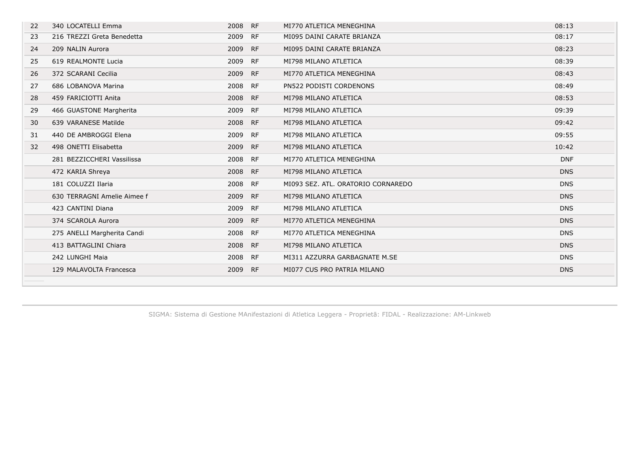| 22 | 340 LOCATELLI Emma          | 2008 | RF        | MI770 ATLETICA MENEGHINA           | 08:13      |
|----|-----------------------------|------|-----------|------------------------------------|------------|
| 23 | 216 TREZZI Greta Benedetta  | 2009 | RF        | MI095 DAINI CARATE BRIANZA         | 08:17      |
| 24 | 209 NALIN Aurora            | 2009 | RF        | MI095 DAINI CARATE BRIANZA         | 08:23      |
| 25 | 619 REALMONTE Lucia         | 2009 | <b>RF</b> | MI798 MILANO ATLETICA              | 08:39      |
| 26 | 372 SCARANI Cecilia         | 2009 | RF        | MI770 ATLETICA MENEGHINA           | 08:43      |
| 27 | 686 LOBANOVA Marina         | 2008 | RF        | PN522 PODISTI CORDENONS            | 08:49      |
| 28 | 459 FARICIOTTI Anita        | 2008 | RF        | MI798 MILANO ATLETICA              | 08:53      |
| 29 | 466 GUASTONE Margherita     | 2009 | RF        | MI798 MILANO ATLETICA              | 09:39      |
| 30 | 639 VARANESE Matilde        | 2008 | RF        | MI798 MILANO ATLETICA              | 09:42      |
| 31 | 440 DE AMBROGGI Elena       | 2009 | RF        | MI798 MILANO ATLETICA              | 09:55      |
| 32 | 498 ONETTI Elisabetta       | 2009 | RF        | MI798 MILANO ATLETICA              | 10:42      |
|    | 281 BEZZICCHERI Vassilissa  | 2008 | RF        | MI770 ATLETICA MENEGHINA           | <b>DNF</b> |
|    | 472 KARIA Shreya            | 2008 | RF        | MI798 MILANO ATLETICA              | <b>DNS</b> |
|    | 181 COLUZZI Ilaria          | 2008 | RF        | MI093 SEZ, ATL, ORATORIO CORNAREDO | <b>DNS</b> |
|    | 630 TERRAGNI Amelie Aimee f | 2009 | RF        | MI798 MILANO ATLETICA              | <b>DNS</b> |
|    | 423 CANTINI Diana           | 2009 | <b>RF</b> | MI798 MILANO ATLETICA              | <b>DNS</b> |
|    | 374 SCAROLA Aurora          | 2009 | <b>RF</b> | MI770 ATLETICA MENEGHINA           | <b>DNS</b> |
|    | 275 ANELLI Margherita Candi | 2008 | RF        | MI770 ATLETICA MENEGHINA           | <b>DNS</b> |
|    | 413 BATTAGLINI Chiara       | 2008 | <b>RF</b> | MI798 MILANO ATLETICA              | <b>DNS</b> |
|    | 242 LUNGHI Maia             | 2008 | RF        | MI311 AZZURRA GARBAGNATE M.SE      | <b>DNS</b> |
|    | 129 MALAVOLTA Francesca     | 2009 | <b>RF</b> | MI077 CUS PRO PATRIA MILANO        | <b>DNS</b> |
|    |                             |      |           |                                    |            |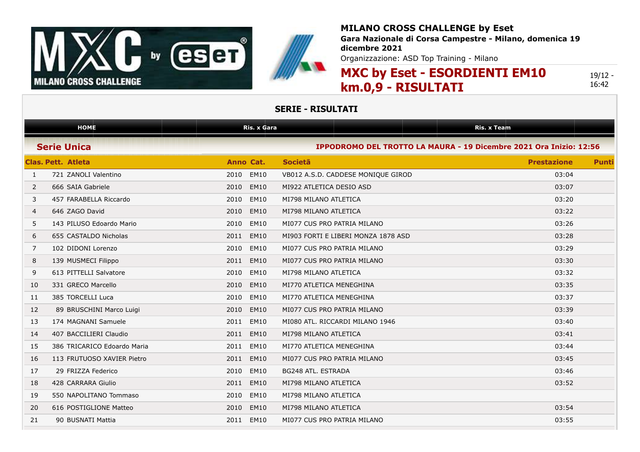

**Gara Nazionale di Corsa Campestre - Milano, domenica 19 dicembre 2021**

Organizzazione: ASD Top Training - Milano

# **MXC by Eset - ESORDIENTI EM10 km.0,9 - RISULTATI**

19/12 - 16:42

|    | <b>HOME</b>                 | <b>Ris. x Gara</b>  |                                                                    | <b>Ris. x Team</b> |              |
|----|-----------------------------|---------------------|--------------------------------------------------------------------|--------------------|--------------|
|    | <b>Serie Unica</b>          |                     | IPPODROMO DEL TROTTO LA MAURA - 19 Dicembre 2021 Ora Inizio: 12:56 |                    |              |
|    | <b>Clas. Pett. Atleta</b>   | Anno Cat.           | <b>Societa</b>                                                     | <b>Prestazione</b> | <b>Punti</b> |
| 1  | 721 ZANOLI Valentino        | 2010<br><b>EM10</b> | VB012 A.S.D. CADDESE MONIQUE GIROD                                 | 03:04              |              |
| 2  | 666 SAIA Gabriele           | 2010<br><b>EM10</b> | MI922 ATLETICA DESIO ASD                                           | 03:07              |              |
| 3  | 457 FARABELLA Riccardo      | <b>EM10</b><br>2010 | MI798 MILANO ATLETICA                                              | 03:20              |              |
| 4  | 646 ZAGO David              | <b>EM10</b><br>2010 | MI798 MILANO ATLETICA                                              | 03:22              |              |
| 5  | 143 PILUSO Edoardo Mario    | <b>EM10</b><br>2010 | MI077 CUS PRO PATRIA MILANO                                        | 03:26              |              |
| 6  | 655 CASTALDO Nicholas       | 2011<br><b>EM10</b> | MI903 FORTI E LIBERI MONZA 1878 ASD                                | 03:28              |              |
| 7  | 102 DIDONI Lorenzo          | 2010<br><b>EM10</b> | MI077 CUS PRO PATRIA MILANO                                        | 03:29              |              |
| 8  | 139 MUSMECI Filippo         | <b>EM10</b><br>2011 | MI077 CUS PRO PATRIA MILANO                                        | 03:30              |              |
| 9  | 613 PITTELLI Salvatore      | 2010<br><b>EM10</b> | MI798 MILANO ATLETICA                                              | 03:32              |              |
| 10 | 331 GRECO Marcello          | 2010<br><b>EM10</b> | MI770 ATLETICA MENEGHINA                                           | 03:35              |              |
| 11 | 385 TORCELLI Luca           | <b>EM10</b><br>2010 | MI770 ATLETICA MENEGHINA                                           | 03:37              |              |
| 12 | 89 BRUSCHINI Marco Luigi    | <b>EM10</b><br>2010 | MI077 CUS PRO PATRIA MILANO                                        | 03:39              |              |
| 13 | 174 MAGNANI Samuele         | <b>EM10</b><br>2011 | MI080 ATL. RICCARDI MILANO 1946                                    | 03:40              |              |
| 14 | 407 BACCILIERI Claudio      | 2011<br><b>EM10</b> | MI798 MILANO ATLETICA                                              | 03:41              |              |
| 15 | 386 TRICARICO Edoardo Maria | <b>EM10</b><br>2011 | MI770 ATLETICA MENEGHINA                                           | 03:44              |              |
| 16 | 113 FRUTUOSO XAVIER Pietro  | <b>EM10</b><br>2011 | MI077 CUS PRO PATRIA MILANO                                        | 03:45              |              |
| 17 | 29 FRIZZA Federico          | <b>EM10</b><br>2010 | BG248 ATL. ESTRADA                                                 | 03:46              |              |
| 18 | 428 CARRARA Giulio          | <b>EM10</b><br>2011 | MI798 MILANO ATLETICA                                              | 03:52              |              |
| 19 | 550 NAPOLITANO Tommaso      | 2010<br><b>EM10</b> | MI798 MILANO ATLETICA                                              |                    |              |
| 20 | 616 POSTIGLIONE Matteo      | 2010<br><b>EM10</b> | MI798 MILANO ATLETICA                                              | 03:54              |              |
| 21 | 90 BUSNATI Mattia           | <b>EM10</b><br>2011 | MI077 CUS PRO PATRIA MILANO                                        | 03:55              |              |
|    |                             |                     |                                                                    |                    |              |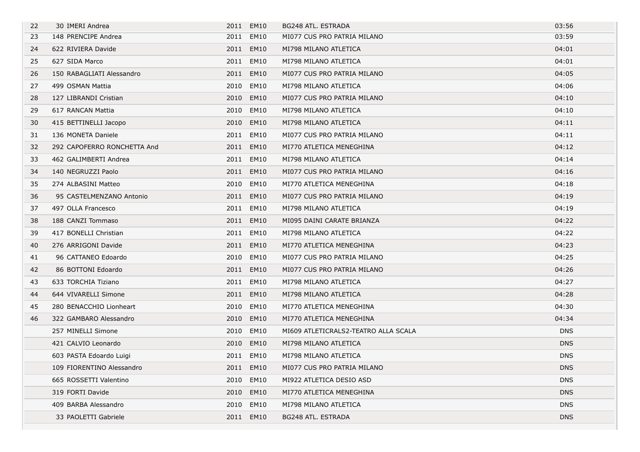| 22 | 30 IMERI Andrea             |      | 2011 EM10   | BG248 ATL. ESTRADA                   | 03:56      |
|----|-----------------------------|------|-------------|--------------------------------------|------------|
| 23 | 148 PRENCIPE Andrea         |      | 2011 EM10   | MI077 CUS PRO PATRIA MILANO          | 03:59      |
| 24 | 622 RIVIERA Davide          | 2011 | <b>EM10</b> | MI798 MILANO ATLETICA                | 04:01      |
| 25 | 627 SIDA Marco              | 2011 | <b>EM10</b> | MI798 MILANO ATLETICA                | 04:01      |
| 26 | 150 RABAGLIATI Alessandro   |      | 2011 EM10   | MI077 CUS PRO PATRIA MILANO          | 04:05      |
| 27 | 499 OSMAN Mattia            | 2010 | <b>EM10</b> | MI798 MILANO ATLETICA                | 04:06      |
| 28 | 127 LIBRANDI Cristian       | 2010 | <b>EM10</b> | MI077 CUS PRO PATRIA MILANO          | 04:10      |
| 29 | 617 RANCAN Mattia           | 2010 | <b>EM10</b> | MI798 MILANO ATLETICA                | 04:10      |
| 30 | 415 BETTINELLI Jacopo       | 2010 | <b>EM10</b> | MI798 MILANO ATLETICA                | 04:11      |
| 31 | 136 MONETA Daniele          | 2011 | <b>EM10</b> | MI077 CUS PRO PATRIA MILANO          | 04:11      |
| 32 | 292 CAPOFERRO RONCHETTA And | 2011 | <b>EM10</b> | MI770 ATLETICA MENEGHINA             | 04:12      |
| 33 | 462 GALIMBERTI Andrea       |      | 2011 EM10   | MI798 MILANO ATLETICA                | 04:14      |
| 34 | 140 NEGRUZZI Paolo          | 2011 | EM10        | MI077 CUS PRO PATRIA MILANO          | 04:16      |
| 35 | 274 ALBASINI Matteo         | 2010 | <b>EM10</b> | MI770 ATLETICA MENEGHINA             | 04:18      |
| 36 | 95 CASTELMENZANO Antonio    |      | 2011 EM10   | MI077 CUS PRO PATRIA MILANO          | 04:19      |
| 37 | 497 OLLA Francesco          | 2011 | <b>EM10</b> | MI798 MILANO ATLETICA                | 04:19      |
| 38 | 188 CANZI Tommaso           | 2011 | <b>EM10</b> | MI095 DAINI CARATE BRIANZA           | 04:22      |
| 39 | 417 BONELLI Christian       |      | 2011 EM10   | MI798 MILANO ATLETICA                | 04:22      |
| 40 | 276 ARRIGONI Davide         | 2011 | <b>EM10</b> | MI770 ATLETICA MENEGHINA             | 04:23      |
| 41 | 96 CATTANEO Edoardo         | 2010 | EM10        | MI077 CUS PRO PATRIA MILANO          | 04:25      |
| 42 | 86 BOTTONI Edoardo          | 2011 | <b>EM10</b> | MI077 CUS PRO PATRIA MILANO          | 04:26      |
| 43 | 633 TORCHIA Tiziano         |      | 2011 EM10   | MI798 MILANO ATLETICA                | 04:27      |
| 44 | 644 VIVARELLI Simone        |      | 2011 EM10   | MI798 MILANO ATLETICA                | 04:28      |
| 45 | 280 BENACCHIO Lionheart     | 2010 | <b>EM10</b> | MI770 ATLETICA MENEGHINA             | 04:30      |
| 46 | 322 GAMBARO Alessandro      |      | 2010 EM10   | MI770 ATLETICA MENEGHINA             | 04:34      |
|    | 257 MINELLI Simone          | 2010 | <b>EM10</b> | MI609 ATLETICRALS2-TEATRO ALLA SCALA | <b>DNS</b> |
|    | 421 CALVIO Leonardo         | 2010 | <b>EM10</b> | MI798 MILANO ATLETICA                | <b>DNS</b> |
|    | 603 PASTA Edoardo Luigi     |      | 2011 EM10   | MI798 MILANO ATLETICA                | <b>DNS</b> |
|    | 109 FIORENTINO Alessandro   | 2011 | <b>EM10</b> | MI077 CUS PRO PATRIA MILANO          | <b>DNS</b> |
|    | 665 ROSSETTI Valentino      | 2010 | <b>EM10</b> | MI922 ATLETICA DESIO ASD             | <b>DNS</b> |
|    | 319 FORTI Davide            | 2010 | <b>EM10</b> | MI770 ATLETICA MENEGHINA             | DNS        |
|    | 409 BARBA Alessandro        | 2010 | EM10        | MI798 MILANO ATLETICA                | <b>DNS</b> |
|    | 33 PAOLETTI Gabriele        | 2011 | <b>EM10</b> | BG248 ATL. ESTRADA                   | <b>DNS</b> |
|    |                             |      |             |                                      |            |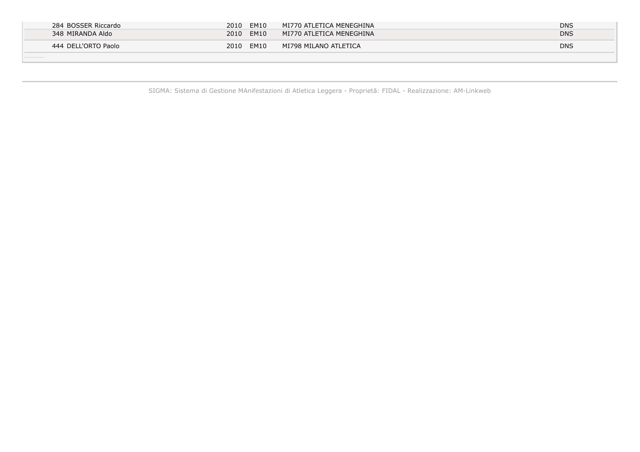| 284 BOSSER Riccardo | 2010<br><b>EM10</b><br>MI770 ATLETICA MENEGHINA               | <b>DNS</b> |
|---------------------|---------------------------------------------------------------|------------|
| 348 MIRANDA Aldo    | 2010<br><b>EM10</b><br>$\mid$ MI770 ATLETICA MENEGHINA $\mid$ | <b>DNS</b> |
| 444 DELL'ORTO Paolo | 2010<br><b>EM10</b><br>MI798 MILANO ATLETICA                  | <b>DNS</b> |
|                     |                                                               |            |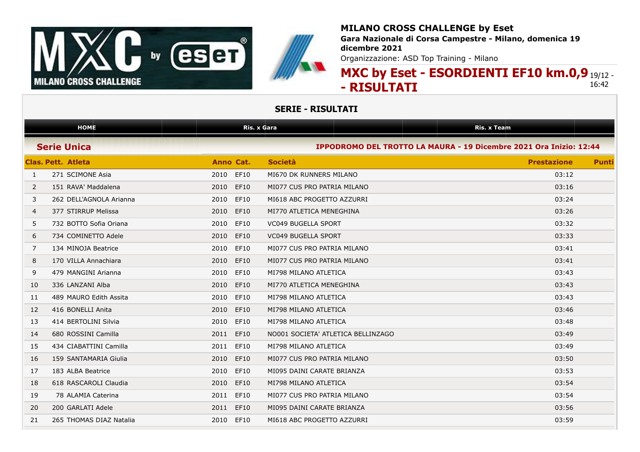

### **MILANO CROSS CHALLENGE by Eset Gara Nazionale di Corsa Campestre - Milano, domenica 19 dicembre 2021**

Organizzazione: ASD Top Training - Milano

### **MXC by Eset - ESORDIENTI EF10 km.0,9** 19/12 - **- RISULTATI** 16:42

| <b>HOME</b><br><b>Ris. x Gara</b> |                           | <b>Ris. x Team</b>  |                                                                    |                    |              |
|-----------------------------------|---------------------------|---------------------|--------------------------------------------------------------------|--------------------|--------------|
|                                   | <b>Serie Unica</b>        |                     | IPPODROMO DEL TROTTO LA MAURA - 19 Dicembre 2021 Ora Inizio: 12:44 |                    |              |
|                                   | <b>Clas. Pett. Atleta</b> | Anno Cat.           | <b>Società</b>                                                     | <b>Prestazione</b> | <b>Punti</b> |
| $\mathbf{1}$                      | 271 SCIMONE Asia          | 2010 EF10           | MI670 DK RUNNERS MILANO                                            | 03:12              |              |
| 2                                 | 151 RAVA' Maddalena       | <b>EF10</b><br>2010 | MI077 CUS PRO PATRIA MILANO                                        | 03:16              |              |
| 3                                 | 262 DELL'AGNOLA Arianna   | 2010<br>EF10        | MI618 ABC PROGETTO AZZURRI                                         | 03:24              |              |
| 4                                 | 377 STIRRUP Melissa       | <b>EF10</b><br>2010 | MI770 ATLETICA MENEGHINA                                           | 03:26              |              |
| 5                                 | 732 BOTTO Sofia Oriana    | 2010<br><b>EF10</b> | <b>VC049 BUGELLA SPORT</b>                                         | 03:32              |              |
| 6                                 | 734 COMINETTO Adele       | <b>EF10</b><br>2010 | <b>VC049 BUGELLA SPORT</b>                                         | 03:33              |              |
| 7                                 | 134 MINOJA Beatrice       | EF10<br>2010        | MI077 CUS PRO PATRIA MILANO                                        | 03:41              |              |
| 8                                 | 170 VILLA Annachiara      | 2010<br><b>EF10</b> | MI077 CUS PRO PATRIA MILANO                                        | 03:41              |              |
| 9                                 | 479 MANGINI Arianna       | <b>EF10</b><br>2010 | MI798 MILANO ATLETICA                                              | 03:43              |              |
| 10                                | 336 LANZANI Alba          | 2010<br><b>EF10</b> | MI770 ATLETICA MENEGHINA                                           | 03:43              |              |
| 11                                | 489 MAURO Edith Assita    | 2010<br>EF10        | MI798 MILANO ATLETICA                                              | 03:43              |              |
| 12                                | 416 BONELLI Anita         | 2010<br><b>EF10</b> | MI798 MILANO ATLETICA                                              | 03:46              |              |
| 13                                | 414 BERTOLINI Silvia      | 2010<br>EF10        | MI798 MILANO ATLETICA                                              | 03:48              |              |
| 14                                | 680 ROSSINI Camilla       | <b>EF10</b><br>2011 | NO001 SOCIETA' ATLETICA BELLINZAGO                                 | 03:49              |              |
| 15                                | 434 CIABATTINI Camilla    | 2011<br>EF10        | MI798 MILANO ATLETICA                                              | 03:49              |              |
| 16                                | 159 SANTAMARIA Giulia     | <b>EF10</b><br>2010 | MI077 CUS PRO PATRIA MILANO                                        | 03:50              |              |
| 17                                | 183 ALBA Beatrice         | 2010<br>EF10        | MI095 DAINI CARATE BRIANZA                                         | 03:53              |              |
| 18                                | 618 RASCAROLI Claudia     | <b>EF10</b><br>2010 | MI798 MILANO ATLETICA                                              | 03:54              |              |
| 19                                | 78 ALAMIA Caterina        | 2011<br>EF10        | MI077 CUS PRO PATRIA MILANO                                        | 03:54              |              |
| 20                                | 200 GARLATI Adele         | EF10<br>2011        | MI095 DAINI CARATE BRIANZA                                         | 03:56              |              |
| 21                                | 265 THOMAS DIAZ Natalia   | 2010 EF10           | MI618 ABC PROGETTO AZZURRI                                         | 03:59              |              |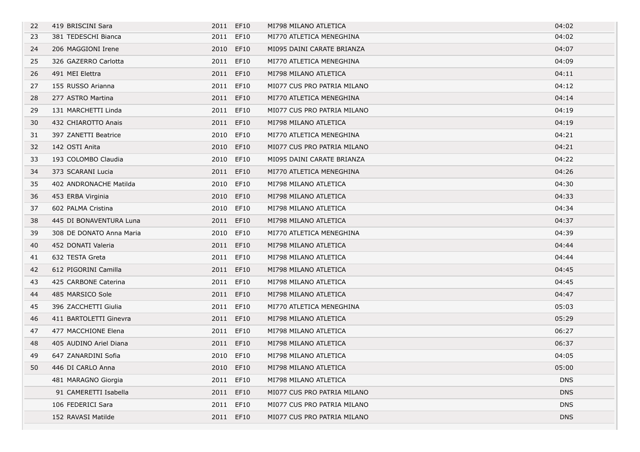| 22 | 419 BRISCINI Sara        | 2011 EF10 |             | MI798 MILANO ATLETICA       | 04:02      |
|----|--------------------------|-----------|-------------|-----------------------------|------------|
| 23 | 381 TEDESCHI Bianca      | 2011      | EF10        | MI770 ATLETICA MENEGHINA    | 04:02      |
| 24 | 206 MAGGIONI Irene       | 2010 EF10 |             | MI095 DAINI CARATE BRIANZA  | 04:07      |
| 25 | 326 GAZERRO Carlotta     | 2011 EF10 |             | MI770 ATLETICA MENEGHINA    | 04:09      |
| 26 | 491 MEI Elettra          | 2011 EF10 |             | MI798 MILANO ATLETICA       | 04:11      |
| 27 | 155 RUSSO Arianna        | 2011 EF10 |             | MI077 CUS PRO PATRIA MILANO | 04:12      |
| 28 | 277 ASTRO Martina        | 2011 EF10 |             | MI770 ATLETICA MENEGHINA    | 04:14      |
| 29 | 131 MARCHETTI Linda      | 2011 EF10 |             | MI077 CUS PRO PATRIA MILANO | 04:19      |
| 30 | 432 CHIAROTTO Anais      | 2011 EF10 |             | MI798 MILANO ATLETICA       | 04:19      |
| 31 | 397 ZANETTI Beatrice     | 2010 EF10 |             | MI770 ATLETICA MENEGHINA    | 04:21      |
| 32 | 142 OSTI Anita           | 2010 EF10 |             | MI077 CUS PRO PATRIA MILANO | 04:21      |
| 33 | 193 COLOMBO Claudia      | 2010 EF10 |             | MI095 DAINI CARATE BRIANZA  | 04:22      |
| 34 | 373 SCARANI Lucia        | 2011 EF10 |             | MI770 ATLETICA MENEGHINA    | 04:26      |
| 35 | 402 ANDRONACHE Matilda   | 2010 EF10 |             | MI798 MILANO ATLETICA       | 04:30      |
| 36 | 453 ERBA Virginia        | 2010      | <b>EF10</b> | MI798 MILANO ATLETICA       | 04:33      |
| 37 | 602 PALMA Cristina       | 2010 EF10 |             | MI798 MILANO ATLETICA       | 04:34      |
| 38 | 445 DI BONAVENTURA Luna  | 2011 EF10 |             | MI798 MILANO ATLETICA       | 04:37      |
| 39 | 308 DE DONATO Anna Maria | 2010      | EF10        | MI770 ATLETICA MENEGHINA    | 04:39      |
| 40 | 452 DONATI Valeria       | 2011 EF10 |             | MI798 MILANO ATLETICA       | 04:44      |
| 41 | 632 TESTA Greta          | 2011 EF10 |             | MI798 MILANO ATLETICA       | 04:44      |
| 42 | 612 PIGORINI Camilla     | 2011 EF10 |             | MI798 MILANO ATLETICA       | 04:45      |
| 43 | 425 CARBONE Caterina     | 2011 EF10 |             | MI798 MILANO ATLETICA       | 04:45      |
| 44 | 485 MARSICO Sole         | 2011 EF10 |             | MI798 MILANO ATLETICA       | 04:47      |
| 45 | 396 ZACCHETTI Giulia     | 2011 EF10 |             | MI770 ATLETICA MENEGHINA    | 05:03      |
| 46 | 411 BARTOLETTI Ginevra   | 2011 EF10 |             | MI798 MILANO ATLETICA       | 05:29      |
| 47 | 477 MACCHIONE Elena      | 2011 EF10 |             | MI798 MILANO ATLETICA       | 06:27      |
| 48 | 405 AUDINO Ariel Diana   | 2011 EF10 |             | MI798 MILANO ATLETICA       | 06:37      |
| 49 | 647 ZANARDINI Sofia      | 2010 EF10 |             | MI798 MILANO ATLETICA       | 04:05      |
| 50 | 446 DI CARLO Anna        | 2010 EF10 |             | MI798 MILANO ATLETICA       | 05:00      |
|    | 481 MARAGNO Giorgia      | 2011      | EF10        | MI798 MILANO ATLETICA       | <b>DNS</b> |
|    | 91 CAMERETTI Isabella    | 2011      | <b>EF10</b> | MI077 CUS PRO PATRIA MILANO | <b>DNS</b> |
|    | 106 FEDERICI Sara        | 2011 EF10 |             | MI077 CUS PRO PATRIA MILANO | <b>DNS</b> |
|    | 152 RAVASI Matilde       | 2011 EF10 |             | MI077 CUS PRO PATRIA MILANO | <b>DNS</b> |
|    |                          |           |             |                             |            |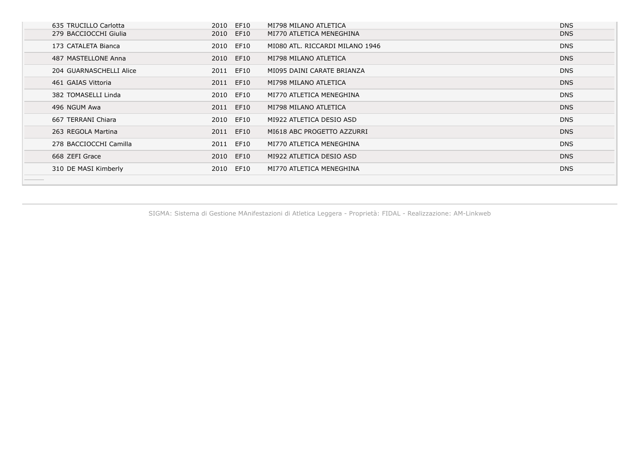| 635 TRUCILLO Carlotta   | EF10<br>2010 | MI798 MILANO ATLETICA           | <b>DNS</b> |
|-------------------------|--------------|---------------------------------|------------|
| 279 BACCIOCCHI Giulia   | 2010 EF10    | MI770 ATLETICA MENEGHINA        | <b>DNS</b> |
| 173 CATALETA Bianca     | EF10<br>2010 | MI080 ATL. RICCARDI MILANO 1946 | <b>DNS</b> |
| 487 MASTELLONE Anna     | 2010 EF10    | MI798 MILANO ATLETICA           | <b>DNS</b> |
| 204 GUARNASCHELLI Alice | 2011 EF10    | MI095 DAINI CARATE BRIANZA      | <b>DNS</b> |
| 461 GAIAS Vittoria      | 2011 EF10    | MI798 MILANO ATLETICA           | <b>DNS</b> |
| 382 TOMASELLI Linda     | 2010<br>EF10 | MI770 ATLETICA MENEGHINA        | <b>DNS</b> |
| 496 NGUM Awa            | 2011 EF10    | MI798 MILANO ATLETICA           | <b>DNS</b> |
| 667 TERRANI Chiara      | 2010 EF10    | MI922 ATLETICA DESIO ASD        | <b>DNS</b> |
| 263 REGOLA Martina      | 2011 EF10    | MI618 ABC PROGETTO AZZURRI      | <b>DNS</b> |
| 278 BACCIOCCHI Camilla  | 2011 EF10    | MI770 ATLETICA MENEGHINA        | <b>DNS</b> |
| 668 ZEFI Grace          | 2010 EF10    | MI922 ATLETICA DESIO ASD        | <b>DNS</b> |
| 310 DE MASI Kimberly    | 2010<br>EF10 | MI770 ATLETICA MENEGHINA        | <b>DNS</b> |
|                         |              |                                 |            |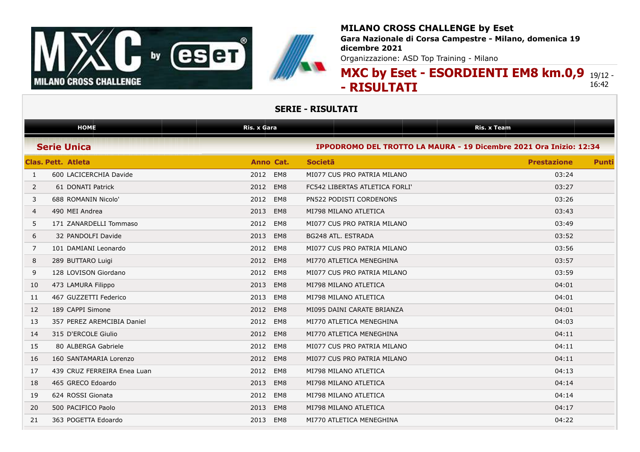



**Gara Nazionale di Corsa Campestre - Milano, domenica 19 dicembre 2021**

Organizzazione: ASD Top Training - Milano

### **MXC by Eset - ESORDIENTI EM8 km.0,9** 19/12 - **- RISULTATI** 16:42

|              | <b>HOME</b>                 | <b>Ris. x Gara</b> |                                                                    | <b>Ris. x Team</b> |              |
|--------------|-----------------------------|--------------------|--------------------------------------------------------------------|--------------------|--------------|
|              | <b>Serie Unica</b>          |                    | IPPODROMO DEL TROTTO LA MAURA - 19 Dicembre 2021 Ora Inizio: 12:34 |                    |              |
|              | <b>Clas, Pett. Atleta</b>   | Anno Cat.          | <b>Societa</b>                                                     | <b>Prestazione</b> | <b>Punti</b> |
| $\mathbf{1}$ | 600 LACICERCHIA Davide      | EM8<br>2012        | MI077 CUS PRO PATRIA MILANO                                        | 03:24              |              |
| 2            | 61 DONATI Patrick           | 2012<br>EM8        | FC542 LIBERTAS ATLETICA FORLI'                                     | 03:27              |              |
| 3            | 688 ROMANIN Nicolo'         | 2012<br>EM8        | PN522 PODISTI CORDENONS                                            | 03:26              |              |
| 4            | 490 MEI Andrea              | 2013<br>EM8        | MI798 MILANO ATLETICA                                              | 03:43              |              |
| 5            | 171 ZANARDELLI Tommaso      | 2012<br>EM8        | MI077 CUS PRO PATRIA MILANO                                        | 03:49              |              |
| 6            | 32 PANDOLFI Davide          | EM8<br>2013        | BG248 ATL. ESTRADA                                                 | 03:52              |              |
| 7            | 101 DAMIANI Leonardo        | EM8<br>2012        | MI077 CUS PRO PATRIA MILANO                                        | 03:56              |              |
| 8            | 289 BUTTARO Luigi           | EM8<br>2012        | MI770 ATLETICA MENEGHINA                                           | 03:57              |              |
| 9            | 128 LOVISON Giordano        | 2012<br>EM8        | MI077 CUS PRO PATRIA MILANO                                        | 03:59              |              |
| 10           | 473 LAMURA Filippo          | 2013<br>EM8        | MI798 MILANO ATLETICA                                              | 04:01              |              |
| 11           | 467 GUZZETTI Federico       | 2013<br>EM8        | MI798 MILANO ATLETICA                                              | 04:01              |              |
| 12           | 189 CAPPI Simone            | 2012<br>EM8        | MI095 DAINI CARATE BRIANZA                                         | 04:01              |              |
| 13           | 357 PEREZ AREMCIBIA Daniel  | 2012<br>EM8        | MI770 ATLETICA MENEGHINA                                           | 04:03              |              |
| 14           | 315 D'ERCOLE Giulio         | 2012<br>EM8        | MI770 ATLETICA MENEGHINA                                           | 04:11              |              |
| 15           | 80 ALBERGA Gabriele         | EM8<br>2012        | MI077 CUS PRO PATRIA MILANO                                        | 04:11              |              |
| 16           | 160 SANTAMARIA Lorenzo      | 2012<br>EM8        | MI077 CUS PRO PATRIA MILANO                                        | 04:11              |              |
| 17           | 439 CRUZ FERREIRA Enea Luan | EM8<br>2012        | MI798 MILANO ATLETICA                                              | 04:13              |              |
| 18           | 465 GRECO Edoardo           | 2013<br>EM8        | MI798 MILANO ATLETICA                                              | 04:14              |              |
| 19           | 624 ROSSI Gionata           | 2012<br>EM8        | MI798 MILANO ATLETICA                                              | 04:14              |              |
| 20           | 500 PACIFICO Paolo          | 2013<br>EM8        | MI798 MILANO ATLETICA                                              | 04:17              |              |
| 21           | 363 POGETTA Edoardo         | 2013<br>EM8        | MI770 ATLETICA MENEGHINA                                           | 04:22              |              |
|              |                             |                    |                                                                    |                    |              |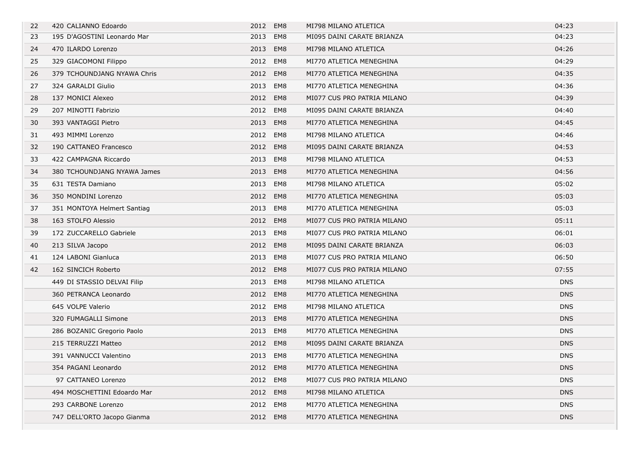| 22 | 420 CALIANNO Edoardo        | 2012 EM8 |          | MI798 MILANO ATLETICA       | 04:23      |
|----|-----------------------------|----------|----------|-----------------------------|------------|
| 23 | 195 D'AGOSTINI Leonardo Mar | 2013     | EM8      | MI095 DAINI CARATE BRIANZA  | 04:23      |
| 24 | 470 ILARDO Lorenzo          | 2013     | EM8      | MI798 MILANO ATLETICA       | 04:26      |
| 25 | 329 GIACOMONI Filippo       | 2012 EM8 |          | MI770 ATLETICA MENEGHINA    | 04:29      |
| 26 | 379 TCHOUNDJANG NYAWA Chris | 2012     | EM8      | MI770 ATLETICA MENEGHINA    | 04:35      |
| 27 | 324 GARALDI Giulio          | 2013     | EM8      | MI770 ATLETICA MENEGHINA    | 04:36      |
| 28 | 137 MONICI Alexeo           | 2012     | EM8      | MI077 CUS PRO PATRIA MILANO | 04:39      |
| 29 | 207 MINOTTI Fabrizio        | 2012     | EM8      | MI095 DAINI CARATE BRIANZA  | 04:40      |
| 30 | 393 VANTAGGI Pietro         | 2013 EM8 |          | MI770 ATLETICA MENEGHINA    | 04:45      |
| 31 | 493 MIMMI Lorenzo           | 2012 EM8 |          | MI798 MILANO ATLETICA       | 04:46      |
| 32 | 190 CATTANEO Francesco      | 2012     | EM8      | MI095 DAINI CARATE BRIANZA  | 04:53      |
| 33 | 422 CAMPAGNA Riccardo       | 2013     | EM8      | MI798 MILANO ATLETICA       | 04:53      |
| 34 | 380 TCHOUNDJANG NYAWA James | 2013     | EM8      | MI770 ATLETICA MENEGHINA    | 04:56      |
| 35 | 631 TESTA Damiano           | 2013     | EM8      | MI798 MILANO ATLETICA       | 05:02      |
| 36 | 350 MONDINI Lorenzo         | 2012     | EM8      | MI770 ATLETICA MENEGHINA    | 05:03      |
| 37 | 351 MONTOYA Helmert Santiag | 2013     | EM8      | MI770 ATLETICA MENEGHINA    | 05:03      |
| 38 | 163 STOLFO Alessio          | 2012     | EM8      | MI077 CUS PRO PATRIA MILANO | 05:11      |
| 39 | 172 ZUCCARELLO Gabriele     | 2013     | EM8      | MI077 CUS PRO PATRIA MILANO | 06:01      |
| 40 | 213 SILVA Jacopo            | 2012 EM8 |          | MI095 DAINI CARATE BRIANZA  | 06:03      |
| 41 | 124 LABONI Gianluca         | 2013     | EM8      | MI077 CUS PRO PATRIA MILANO | 06:50      |
| 42 | 162 SINCICH Roberto         | 2012     | EM8      | MI077 CUS PRO PATRIA MILANO | 07:55      |
|    | 449 DI STASSIO DELVAI Filip | 2013 EM8 |          | MI798 MILANO ATLETICA       | <b>DNS</b> |
|    | 360 PETRANCA Leonardo       | 2012 EM8 |          | MI770 ATLETICA MENEGHINA    | <b>DNS</b> |
|    | 645 VOLPE Valerio           |          | 2012 EM8 | MI798 MILANO ATLETICA       | <b>DNS</b> |
|    | 320 FUMAGALLI Simone        | 2013     | EM8      | MI770 ATLETICA MENEGHINA    | <b>DNS</b> |
|    | 286 BOZANIC Gregorio Paolo  | 2013     | EM8      | MI770 ATLETICA MENEGHINA    | <b>DNS</b> |
|    | 215 TERRUZZI Matteo         | 2012 EM8 |          | MI095 DAINI CARATE BRIANZA  | <b>DNS</b> |
|    | 391 VANNUCCI Valentino      | 2013 EM8 |          | MI770 ATLETICA MENEGHINA    | <b>DNS</b> |
|    | 354 PAGANI Leonardo         | 2012 EM8 |          | MI770 ATLETICA MENEGHINA    | <b>DNS</b> |
|    | 97 CATTANEO Lorenzo         | 2012     | EM8      | MI077 CUS PRO PATRIA MILANO | <b>DNS</b> |
|    | 494 MOSCHETTINI Edoardo Mar | 2012     | EM8      | MI798 MILANO ATLETICA       | <b>DNS</b> |
|    | 293 CARBONE Lorenzo         | 2012 EM8 |          | MI770 ATLETICA MENEGHINA    | <b>DNS</b> |
|    | 747 DELL'ORTO Jacopo Gianma | 2012 EM8 |          | MI770 ATLETICA MENEGHINA    | <b>DNS</b> |
|    |                             |          |          |                             |            |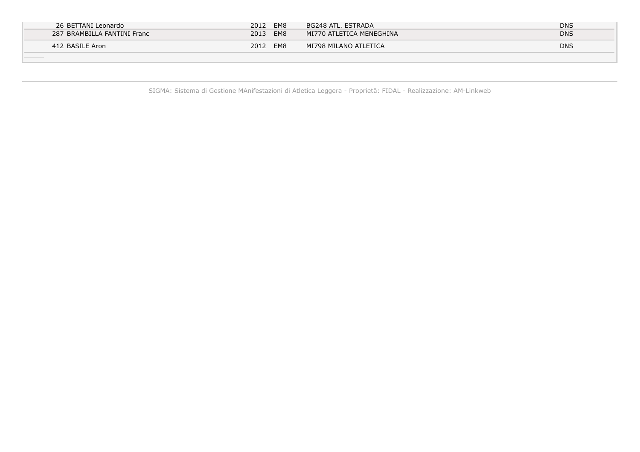| 26 BETTANI Leonardo         | 2012<br>EM8 | BG248 ATL. ESTRADA                     | <b>DNS</b> |
|-----------------------------|-------------|----------------------------------------|------------|
| 287 BRAMBILLA FANTINI Franc | EM8<br>2013 | $\mid$ MI770 ATLETICA MENEGHINA $\mid$ | <b>DNS</b> |
| 412 BASILE Aron             | 2012<br>EM8 | MI798 MILANO ATLETICA                  | <b>DNS</b> |
|                             |             |                                        |            |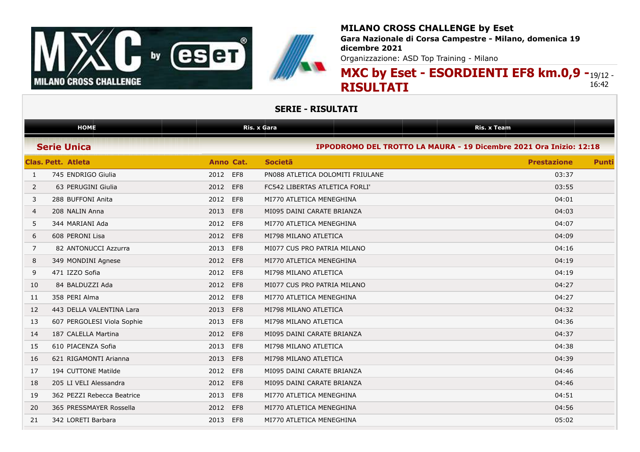



**Gara Nazionale di Corsa Campestre - Milano, domenica 19 dicembre 2021**

Organizzazione: ASD Top Training - Milano

### **MXC by Eset - ESORDIENTI EF8 km.0,9 -**19/12 -**RISULTATI** 16:42

|              | <b>HOME</b>                |             | <b>Ris. x Gara</b>               | <b>Ris. x Team</b>                                                 |              |
|--------------|----------------------------|-------------|----------------------------------|--------------------------------------------------------------------|--------------|
|              | <b>Serie Unica</b>         |             |                                  | IPPODROMO DEL TROTTO LA MAURA - 19 Dicembre 2021 Ora Inizio: 12:18 |              |
|              | <b>Clas. Pett. Atleta</b>  | Anno Cat.   | <b>Societa</b>                   | <b>Prestazione</b>                                                 | <b>Punti</b> |
| $\mathbf{1}$ | 745 ENDRIGO Giulia         | 2012<br>EF8 | PN088 ATLETICA DOLOMITI FRIULANE | 03:37                                                              |              |
| 2            | 63 PERUGINI Giulia         | 2012<br>EF8 | FC542 LIBERTAS ATLETICA FORLI'   | 03:55                                                              |              |
| 3            | 288 BUFFONI Anita          | EF8<br>2012 | MI770 ATLETICA MENEGHINA         | 04:01                                                              |              |
| 4            | 208 NALIN Anna             | 2013<br>EF8 | MI095 DAINI CARATE BRIANZA       | 04:03                                                              |              |
| 5            | 344 MARIANI Ada            | EF8<br>2012 | MI770 ATLETICA MENEGHINA         | 04:07                                                              |              |
| 6            | 608 PERONI Lisa            | 2012<br>EF8 | MI798 MILANO ATLETICA            | 04:09                                                              |              |
| 7            | 82 ANTONUCCI Azzurra       | EF8<br>2013 | MI077 CUS PRO PATRIA MILANO      | 04:16                                                              |              |
| 8            | 349 MONDINI Agnese         | 2012<br>EF8 | MI770 ATLETICA MENEGHINA         | 04:19                                                              |              |
| 9            | 471 IZZO Sofia             | EF8<br>2012 | MI798 MILANO ATLETICA            | 04:19                                                              |              |
| 10           | 84 BALDUZZI Ada            | 2012<br>EF8 | MI077 CUS PRO PATRIA MILANO      | 04:27                                                              |              |
| 11           | 358 PERI Alma              | EF8<br>2012 | MI770 ATLETICA MENEGHINA         | 04:27                                                              |              |
| 12           | 443 DELLA VALENTINA Lara   | EF8<br>2013 | MI798 MILANO ATLETICA            | 04:32                                                              |              |
| 13           | 607 PERGOLESI Viola Sophie | EF8<br>2013 | MI798 MILANO ATLETICA            | 04:36                                                              |              |
| 14           | 187 CALELLA Martina        | EF8<br>2012 | MI095 DAINI CARATE BRIANZA       | 04:37                                                              |              |
| 15           | 610 PIACENZA Sofia         | EF8<br>2013 | MI798 MILANO ATLETICA            | 04:38                                                              |              |
| 16           | 621 RIGAMONTI Arianna      | 2013<br>EF8 | MI798 MILANO ATLETICA            | 04:39                                                              |              |
| 17           | 194 CUTTONE Matilde        | EF8<br>2012 | MI095 DAINI CARATE BRIANZA       | 04:46                                                              |              |
| 18           | 205 LI VELI Alessandra     | 2012<br>EF8 | MI095 DAINI CARATE BRIANZA       | 04:46                                                              |              |
| 19           | 362 PEZZI Rebecca Beatrice | EF8<br>2013 | MI770 ATLETICA MENEGHINA         | 04:51                                                              |              |
| 20           | 365 PRESSMAYER Rossella    | EF8<br>2012 | MI770 ATLETICA MENEGHINA         | 04:56                                                              |              |
| 21           | 342 LORETI Barbara         | EF8<br>2013 | MI770 ATLETICA MENEGHINA         | 05:02                                                              |              |
|              |                            |             |                                  |                                                                    |              |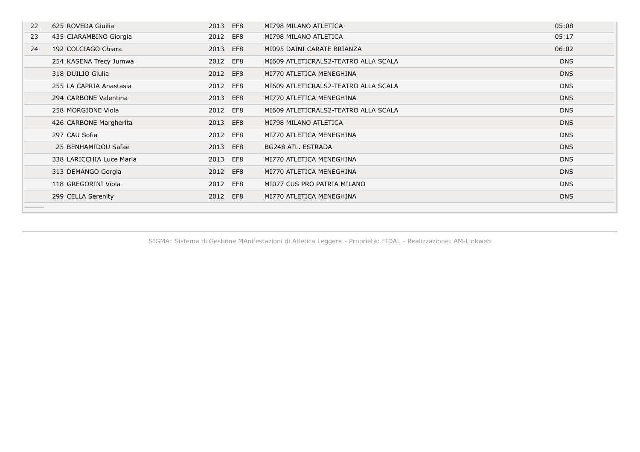| 22 | 625 ROVEDA Giuilia       | 2013 | EF8 | MI798 MILANO ATLETICA                | 05:08      |
|----|--------------------------|------|-----|--------------------------------------|------------|
| 23 | 435 CIARAMBINO Giorgia   | 2012 | EF8 | MI798 MILANO ATLETICA                | 05:17      |
| 24 | 192 COLCIAGO Chiara      | 2013 | EF8 | MI095 DAINI CARATE BRIANZA           | 06:02      |
|    | 254 KASENA Trecy Jumwa   | 2012 | EF8 | MI609 ATLETICRALS2-TEATRO ALLA SCALA | <b>DNS</b> |
|    | 318 DUILIO Giulia        | 2012 | EF8 | MI770 ATLETICA MENEGHINA             | <b>DNS</b> |
|    | 255 LA CAPRIA Anastasia  | 2012 | EF8 | MI609 ATLETICRALS2-TEATRO ALLA SCALA | <b>DNS</b> |
|    | 294 CARBONE Valentina    | 2013 | EF8 | MI770 ATLETICA MENEGHINA             | <b>DNS</b> |
|    | 258 MORGIONE Viola       | 2012 | EF8 | MI609 ATLETICRALS2-TEATRO ALLA SCALA | <b>DNS</b> |
|    | 426 CARBONE Margherita   | 2013 | EF8 | MI798 MILANO ATLETICA                | <b>DNS</b> |
|    | 297 CAU Sofia            | 2012 | EF8 | MI770 ATLETICA MENEGHINA             | <b>DNS</b> |
|    | 25 BENHAMIDOU Safae      | 2013 | EF8 | BG248 ATL, ESTRADA                   | <b>DNS</b> |
|    | 338 LARICCHIA Luce Maria | 2013 | EF8 | MI770 ATLETICA MENEGHINA             | <b>DNS</b> |
|    | 313 DEMANGO Gorgia       | 2012 | EF8 | MI770 ATLETICA MENEGHINA             | <b>DNS</b> |
|    | 118 GREGORINI Viola      | 2012 | EF8 | MI077 CUS PRO PATRIA MILANO          | <b>DNS</b> |
|    | 299 CELLA Serenity       | 2012 | EF8 | MI770 ATLETICA MENEGHINA             | <b>DNS</b> |
|    |                          |      |     |                                      |            |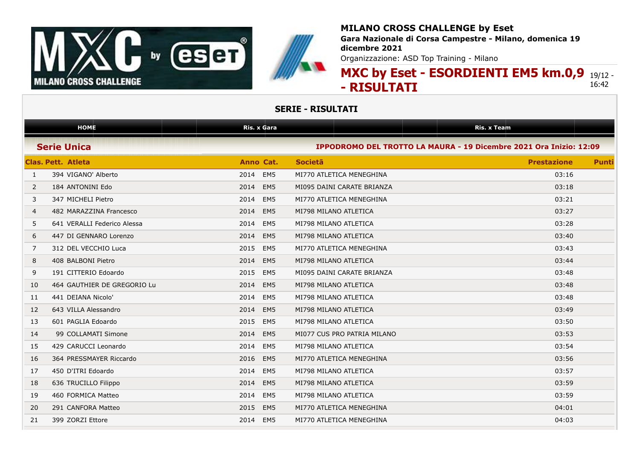



**Gara Nazionale di Corsa Campestre - Milano, domenica 19 dicembre 2021**

Organizzazione: ASD Top Training - Milano

### **MXC by Eset - ESORDIENTI EM5 km.0,9** 19/12 - **- RISULTATI** 16:42

|                | <b>HOME</b>                 | Ris. x Gara             |                                                                    | <b>Ris. x Team</b> |              |
|----------------|-----------------------------|-------------------------|--------------------------------------------------------------------|--------------------|--------------|
|                | <b>Serie Unica</b>          |                         | IPPODROMO DEL TROTTO LA MAURA - 19 Dicembre 2021 Ora Inizio: 12:09 |                    |              |
|                | <b>Clas. Pett. Atleta</b>   | Anno Cat.               | <b>Societa</b>                                                     | <b>Prestazione</b> | <b>Punti</b> |
| $\mathbf{1}$   | 394 VIGANO' Alberto         | EM <sub>5</sub><br>2014 | MI770 ATLETICA MENEGHINA                                           | 03:16              |              |
| $\overline{2}$ | 184 ANTONINI Edo            | 2014<br>EM <sub>5</sub> | MI095 DAINI CARATE BRIANZA                                         | 03:18              |              |
| 3              | 347 MICHELI Pietro          | EM <sub>5</sub><br>2014 | MI770 ATLETICA MENEGHINA                                           | 03:21              |              |
| 4              | 482 MARAZZINA Francesco     | 2014<br>EM <sub>5</sub> | MI798 MILANO ATLETICA                                              | 03:27              |              |
| 5              | 641 VERALLI Federico Alessa | 2014<br>EM <sub>5</sub> | MI798 MILANO ATLETICA                                              | 03:28              |              |
| 6              | 447 DI GENNARO Lorenzo      | 2014<br>EM <sub>5</sub> | MI798 MILANO ATLETICA                                              | 03:40              |              |
| 7              | 312 DEL VECCHIO Luca        | 2015<br>EM <sub>5</sub> | MI770 ATLETICA MENEGHINA                                           | 03:43              |              |
| 8              | 408 BALBONI Pietro          | EM <sub>5</sub><br>2014 | MI798 MILANO ATLETICA                                              | 03:44              |              |
| 9              | 191 CITTERIO Edoardo        | EM <sub>5</sub><br>2015 | MI095 DAINI CARATE BRIANZA                                         | 03:48              |              |
| 10             | 464 GAUTHIER DE GREGORIO Lu | 2014<br>EM <sub>5</sub> | MI798 MILANO ATLETICA                                              | 03:48              |              |
| 11             | 441 DEIANA Nicolo'          | 2014<br>EM <sub>5</sub> | MI798 MILANO ATLETICA                                              | 03:48              |              |
| 12             | 643 VILLA Alessandro        | EM <sub>5</sub><br>2014 | MI798 MILANO ATLETICA                                              | 03:49              |              |
| 13             | 601 PAGLIA Edoardo          | EM <sub>5</sub><br>2015 | MI798 MILANO ATLETICA                                              | 03:50              |              |
| 14             | 99 COLLAMATI Simone         | EM <sub>5</sub><br>2014 | MI077 CUS PRO PATRIA MILANO                                        | 03:53              |              |
| 15             | 429 CARUCCI Leonardo        | EM <sub>5</sub><br>2014 | MI798 MILANO ATLETICA                                              | 03:54              |              |
| 16             | 364 PRESSMAYER Riccardo     | 2016<br>EM <sub>5</sub> | MI770 ATLETICA MENEGHINA                                           | 03:56              |              |
| 17             | 450 D'ITRI Edoardo          | EM <sub>5</sub><br>2014 | MI798 MILANO ATLETICA                                              | 03:57              |              |
| 18             | 636 TRUCILLO Filippo        | EM <sub>5</sub><br>2014 | MI798 MILANO ATLETICA                                              | 03:59              |              |
| 19             | 460 FORMICA Matteo          | EM <sub>5</sub><br>2014 | MI798 MILANO ATLETICA                                              | 03:59              |              |
| 20             | 291 CANFORA Matteo          | 2015<br>EM <sub>5</sub> | MI770 ATLETICA MENEGHINA                                           | 04:01              |              |
| 21             | 399 ZORZI Ettore            | EM <sub>5</sub><br>2014 | MI770 ATLETICA MENEGHINA                                           | 04:03              |              |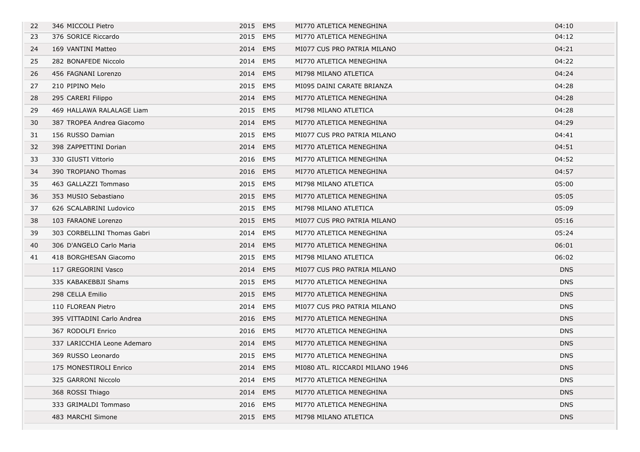| 22 | 346 MICCOLI Pietro          | 2015 EM5 |                 | MI770 ATLETICA MENEGHINA        | 04:10      |
|----|-----------------------------|----------|-----------------|---------------------------------|------------|
| 23 | 376 SORICE Riccardo         | 2015 EM5 |                 | MI770 ATLETICA MENEGHINA        | 04:12      |
| 24 | 169 VANTINI Matteo          | 2014     | EM <sub>5</sub> | MI077 CUS PRO PATRIA MILANO     | 04:21      |
| 25 | 282 BONAFEDE Niccolo        | 2014     | EM5             | MI770 ATLETICA MENEGHINA        | 04:22      |
| 26 | 456 FAGNANI Lorenzo         | 2014     | EM5             | MI798 MILANO ATLETICA           | 04:24      |
| 27 | 210 PIPINO Melo             | 2015     | EM5             | MI095 DAINI CARATE BRIANZA      | 04:28      |
| 28 | 295 CARERI Filippo          | 2014     | EM5             | MI770 ATLETICA MENEGHINA        | 04:28      |
| 29 | 469 HALLAWA RALALAGE Liam   | 2015     | EM5             | MI798 MILANO ATLETICA           | 04:28      |
| 30 | 387 TROPEA Andrea Giacomo   | 2014 EM5 |                 | MI770 ATLETICA MENEGHINA        | 04:29      |
| 31 | 156 RUSSO Damian            | 2015 EM5 |                 | MI077 CUS PRO PATRIA MILANO     | 04:41      |
| 32 | 398 ZAPPETTINI Dorian       | 2014     | EM <sub>5</sub> | MI770 ATLETICA MENEGHINA        | 04:51      |
| 33 | 330 GIUSTI Vittorio         | 2016     | EM5             | MI770 ATLETICA MENEGHINA        | 04:52      |
| 34 | 390 TROPIANO Thomas         | 2016     | EM5             | MI770 ATLETICA MENEGHINA        | 04:57      |
| 35 | 463 GALLAZZI Tommaso        | 2015     | EM5             | MI798 MILANO ATLETICA           | 05:00      |
| 36 | 353 MUSIO Sebastiano        | 2015 EM5 |                 | MI770 ATLETICA MENEGHINA        | 05:05      |
| 37 | 626 SCALABRINI Ludovico     | 2015     | EM5             | MI798 MILANO ATLETICA           | 05:09      |
| 38 | 103 FARAONE Lorenzo         | 2015     | EM5             | MI077 CUS PRO PATRIA MILANO     | 05:16      |
| 39 | 303 CORBELLINI Thomas Gabri | 2014     | EM5             | MI770 ATLETICA MENEGHINA        | 05:24      |
| 40 | 306 D'ANGELO Carlo Maria    | 2014 EM5 |                 | MI770 ATLETICA MENEGHINA        | 06:01      |
| 41 | 418 BORGHESAN Giacomo       | 2015 EM5 |                 | MI798 MILANO ATLETICA           | 06:02      |
|    | 117 GREGORINI Vasco         | 2014     | EM <sub>5</sub> | MI077 CUS PRO PATRIA MILANO     | <b>DNS</b> |
|    | 335 KABAKEBBJI Shams        | 2015 EM5 |                 | MI770 ATLETICA MENEGHINA        | <b>DNS</b> |
|    | 298 CELLA Emilio            | 2015     | EM5             | MI770 ATLETICA MENEGHINA        | <b>DNS</b> |
|    | 110 FLOREAN Pietro          | 2014     | EM5             | MI077 CUS PRO PATRIA MILANO     | <b>DNS</b> |
|    | 395 VITTADINI Carlo Andrea  | 2016 EM5 |                 | MI770 ATLETICA MENEGHINA        | DNS        |
|    | 367 RODOLFI Enrico          | 2016     | EM5             | MI770 ATLETICA MENEGHINA        | <b>DNS</b> |
|    | 337 LARICCHIA Leone Ademaro | 2014     | EM5             | MI770 ATLETICA MENEGHINA        | <b>DNS</b> |
|    | 369 RUSSO Leonardo          | 2015 EM5 |                 | MI770 ATLETICA MENEGHINA        | <b>DNS</b> |
|    | 175 MONESTIROLI Enrico      | 2014 EM5 |                 | MI080 ATL. RICCARDI MILANO 1946 | <b>DNS</b> |
|    | 325 GARRONI Niccolo         | 2014     | EM5             | MI770 ATLETICA MENEGHINA        | <b>DNS</b> |
|    | 368 ROSSI Thiago            | 2014     | EM <sub>5</sub> | MI770 ATLETICA MENEGHINA        | <b>DNS</b> |
|    | 333 GRIMALDI Tommaso        | 2016     | EM5             | MI770 ATLETICA MENEGHINA        | <b>DNS</b> |
|    | 483 MARCHI Simone           | 2015 EM5 |                 | MI798 MILANO ATLETICA           | <b>DNS</b> |
|    |                             |          |                 |                                 |            |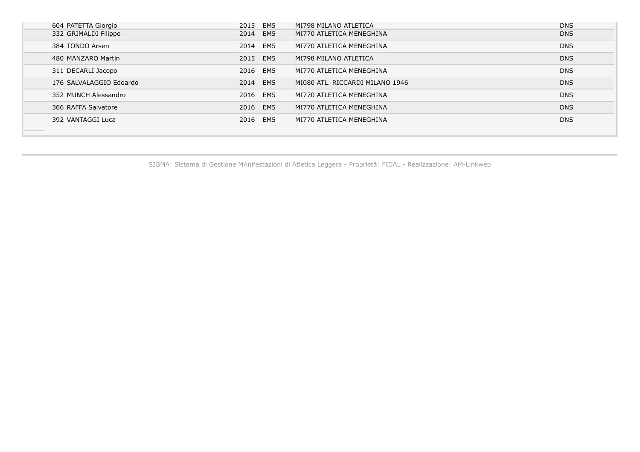| 604 PATETTA Giorgio     | 2015 EM5 | MI798 MILANO ATLETICA           | <b>DNS</b> |
|-------------------------|----------|---------------------------------|------------|
| 332 GRIMALDI Filippo    | 2014 EM5 | MI770 ATLETICA MENEGHINA        | <b>DNS</b> |
| 384 TONDO Arsen         | 2014 EM5 | MI770 ATLETICA MENEGHINA        | <b>DNS</b> |
| 480 MANZARO Martin      | 2015 EM5 | MI798 MILANO ATLETICA           | <b>DNS</b> |
| 311 DECARLI Jacopo      | 2016 EM5 | MI770 ATLETICA MENEGHINA        | <b>DNS</b> |
| 176 SALVALAGGIO Edoardo | 2014 EM5 | MI080 ATL. RICCARDI MILANO 1946 | <b>DNS</b> |
| 352 MUNCH Alessandro    | 2016 EM5 | MI770 ATLETICA MENEGHINA        | <b>DNS</b> |
| 366 RAFFA Salvatore     | 2016 EM5 | MI770 ATLETICA MENEGHINA        | <b>DNS</b> |
| 392 VANTAGGI Luca       | 2016 EM5 | MI770 ATLETICA MENEGHINA        | <b>DNS</b> |
|                         |          |                                 |            |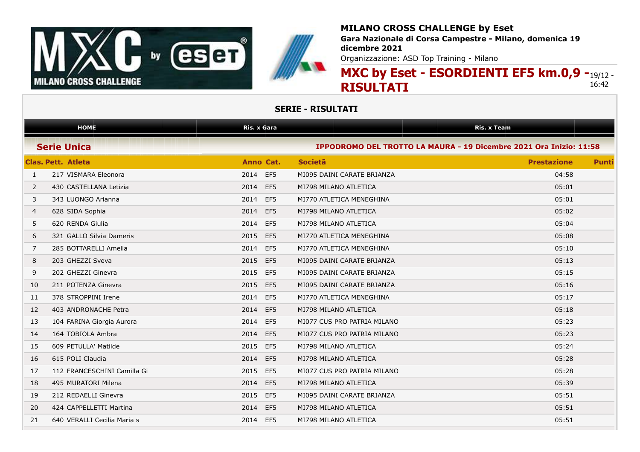



**Gara Nazionale di Corsa Campestre - Milano, domenica 19 dicembre 2021**

Organizzazione: ASD Top Training - Milano

### **MXC by Eset - ESORDIENTI EF5 km.0,9 -**19/12 -**RISULTATI** 16:42

| <b>HOME</b>                 | <b>Ris. x Gara</b>                              |                                                                                                                                                                                                                                                                                                                                                   | <b>Ris. x Team</b> |  |  |
|-----------------------------|-------------------------------------------------|---------------------------------------------------------------------------------------------------------------------------------------------------------------------------------------------------------------------------------------------------------------------------------------------------------------------------------------------------|--------------------|--|--|
|                             |                                                 | IPPODROMO DEL TROTTO LA MAURA - 19 Dicembre 2021 Ora Inizio: 11:58<br><b>Societa</b><br><b>Prestazione</b><br><b>Punti</b><br>04:58<br>MI095 DAINI CARATE BRIANZA<br>MI798 MILANO ATLETICA<br>05:01<br>MI770 ATLETICA MENEGHINA<br>05:01<br>05:02<br>MI798 MILANO ATLETICA<br>05:04<br>MI798 MILANO ATLETICA<br>05:08<br>MI770 ATLETICA MENEGHINA |                    |  |  |
|                             | Anno Cat.                                       |                                                                                                                                                                                                                                                                                                                                                   |                    |  |  |
| 217 VISMARA Eleonora        | EF5<br>2014                                     |                                                                                                                                                                                                                                                                                                                                                   |                    |  |  |
| 430 CASTELLANA Letizia      | 2014<br>EF5                                     |                                                                                                                                                                                                                                                                                                                                                   |                    |  |  |
| 343 LUONGO Arianna          | EF5<br>2014                                     |                                                                                                                                                                                                                                                                                                                                                   |                    |  |  |
| 628 SIDA Sophia             | EF5<br>2014                                     |                                                                                                                                                                                                                                                                                                                                                   |                    |  |  |
| 620 RENDA Giulia            | EF <sub>5</sub><br>2014                         |                                                                                                                                                                                                                                                                                                                                                   |                    |  |  |
| 321 GALLO Silvia Dameris    | 2015<br>EF5                                     |                                                                                                                                                                                                                                                                                                                                                   |                    |  |  |
| 285 BOTTARELLI Amelia       | EF5<br>2014                                     | MI770 ATLETICA MENEGHINA                                                                                                                                                                                                                                                                                                                          | 05:10              |  |  |
| 203 GHEZZI Sveva            | 2015<br>EF5                                     | MI095 DAINI CARATE BRIANZA                                                                                                                                                                                                                                                                                                                        | 05:13              |  |  |
| 202 GHEZZI Ginevra          | 2015<br>EF5                                     | MI095 DAINI CARATE BRIANZA                                                                                                                                                                                                                                                                                                                        | 05:15              |  |  |
| 211 POTENZA Ginevra         | EF5<br>2015                                     | MI095 DAINI CARATE BRIANZA                                                                                                                                                                                                                                                                                                                        | 05:16              |  |  |
| 378 STROPPINI Irene         | EF <sub>5</sub><br>2014                         | MI770 ATLETICA MENEGHINA                                                                                                                                                                                                                                                                                                                          | 05:17              |  |  |
| 403 ANDRONACHE Petra        | EF5<br>2014                                     | MI798 MILANO ATLETICA                                                                                                                                                                                                                                                                                                                             | 05:18              |  |  |
| 104 FARINA Giorgia Aurora   | EF5<br>2014                                     | MI077 CUS PRO PATRIA MILANO                                                                                                                                                                                                                                                                                                                       | 05:23              |  |  |
| 164 TOBIOLA Ambra           | 2014<br>EF5                                     | MI077 CUS PRO PATRIA MILANO                                                                                                                                                                                                                                                                                                                       | 05:23              |  |  |
| 609 PETULLA' Matilde        | 2015<br>EF5                                     | MI798 MILANO ATLETICA                                                                                                                                                                                                                                                                                                                             | 05:24              |  |  |
| 615 POLI Claudia            | 2014<br>EF5                                     | MI798 MILANO ATLETICA                                                                                                                                                                                                                                                                                                                             | 05:28              |  |  |
| 112 FRANCESCHINI Camilla Gi | EF5<br>2015                                     | MI077 CUS PRO PATRIA MILANO                                                                                                                                                                                                                                                                                                                       | 05:28              |  |  |
| 495 MURATORI Milena         | EF5<br>2014                                     | MI798 MILANO ATLETICA                                                                                                                                                                                                                                                                                                                             | 05:39              |  |  |
| 212 REDAELLI Ginevra        | 2015<br>EF5                                     | MI095 DAINI CARATE BRIANZA                                                                                                                                                                                                                                                                                                                        | 05:51              |  |  |
| 424 CAPPELLETTI Martina     | 2014<br>EF5                                     | MI798 MILANO ATLETICA                                                                                                                                                                                                                                                                                                                             | 05:51              |  |  |
| 640 VERALLI Cecilia Maria s | EF <sub>5</sub><br>2014                         | MI798 MILANO ATLETICA                                                                                                                                                                                                                                                                                                                             | 05:51              |  |  |
|                             | <b>Serie Unica</b><br><b>Clas. Pett. Atleta</b> |                                                                                                                                                                                                                                                                                                                                                   |                    |  |  |